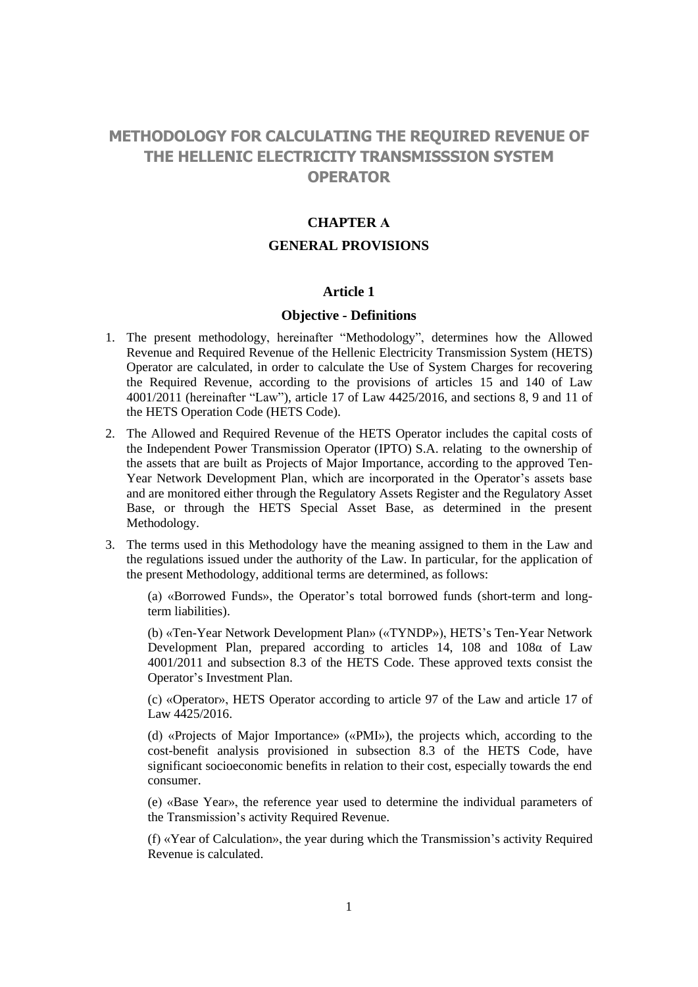# **METHODOLOGY FOR CALCULATING THE REQUIRED REVENUE OF THE HELLENIC ELECTRICITY TRANSMISSSION SYSTEM OPERATOR**

### **CHAPTER Α**

#### **GENERAL PROVISIONS**

#### **Article 1**

#### **Objective - Definitions**

- 1. The present methodology, hereinafter "Methodology", determines how the Allowed Revenue and Required Revenue of the Hellenic Electricity Transmission System (HETS) Operator are calculated, in order to calculate the Use of System Charges for recovering the Required Revenue, according to the provisions of articles 15 and 140 of Law 4001/2011 (hereinafter "Law"), article 17 of Law 4425/2016, and sections 8, 9 and 11 of the HETS Operation Code (HETS Code).
- 2. The Allowed and Required Revenue of the HETS Operator includes the capital costs of the Independent Power Transmission Operator (IPTO) S.A. relating to the ownership of the assets that are built as Projects of Major Importance, according to the approved Ten-Year Network Development Plan, which are incorporated in the Operator's assets base and are monitored either through the Regulatory Assets Register and the Regulatory Asset Base, or through the HETS Special Asset Base, as determined in the present Methodology.
- 3. The terms used in this Methodology have the meaning assigned to them in the Law and the regulations issued under the authority of the Law. In particular, for the application of the present Methodology, additional terms are determined, as follows:

(a) «Borrowed Funds», the Operator's total borrowed funds (short-term and longterm liabilities).

(b) «Ten-Year Network Development Plan» («TYNDP»), HETS's Ten-Year Network Development Plan, prepared according to articles 14, 108 and 108α of Law 4001/2011 and subsection 8.3 of the HETS Code. These approved texts consist the Operator's Investment Plan.

(c) «Operator», HETS Operator according to article 97 of the Law and article 17 of Law 4425/2016.

(d) «Projects of Major Importance» («PMI»), the projects which, according to the cost-benefit analysis provisioned in subsection 8.3 of the HETS Code, have significant socioeconomic benefits in relation to their cost, especially towards the end consumer.

(e) «Base Year», the reference year used to determine the individual parameters of the Transmission's activity Required Revenue.

(f) «Year of Calculation», the year during which the Transmission's activity Required Revenue is calculated.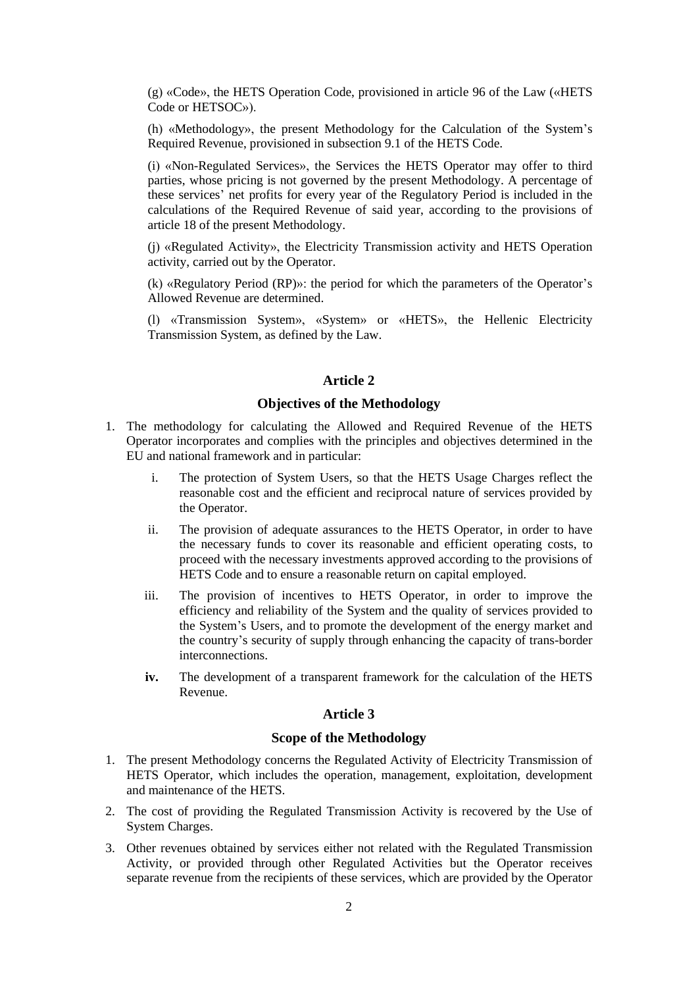(g) «Code», the HETS Operation Code, provisioned in article 96 of the Law («HETS Code or HETSOC»).

(h) «Methodology», the present Methodology for the Calculation of the System's Required Revenue, provisioned in subsection 9.1 of the HETS Code.

(i) «Non-Regulated Services», the Services the HETS Operator may offer to third parties, whose pricing is not governed by the present Methodology. A percentage of these services' net profits for every year of the Regulatory Period is included in the calculations of the Required Revenue of said year, according to the provisions of article 18 of the present Methodology.

(j) «Regulated Activity», the Electricity Transmission activity and HETS Operation activity, carried out by the Operator.

(k) «Regulatory Period (RP)»: the period for which the parameters of the Operator's Allowed Revenue are determined.

(l) «Transmission System», «System» or «HETS», the Hellenic Electricity Transmission System, as defined by the Law.

## **Article 2**

#### **Objectives of the Methodology**

- 1. The methodology for calculating the Allowed and Required Revenue of the HETS Operator incorporates and complies with the principles and objectives determined in the EU and national framework and in particular:
	- i. The protection of System Users, so that the HETS Usage Charges reflect the reasonable cost and the efficient and reciprocal nature of services provided by the Operator.
	- ii. The provision of adequate assurances to the HETS Operator, in order to have the necessary funds to cover its reasonable and efficient operating costs, to proceed with the necessary investments approved according to the provisions of HETS Code and to ensure a reasonable return on capital employed.
	- iii. The provision of incentives to HETS Operator, in order to improve the efficiency and reliability of the System and the quality of services provided to the System's Users, and to promote the development of the energy market and the country's security of supply through enhancing the capacity of trans-border interconnections.
	- **iv.** The development of a transparent framework for the calculation of the HETS Revenue.

## **Article 3**

#### **Scope of the Methodology**

- 1. The present Methodology concerns the Regulated Activity of Electricity Transmission of HETS Operator, which includes the operation, management, exploitation, development and maintenance of the HETS.
- 2. The cost of providing the Regulated Transmission Activity is recovered by the Use of System Charges.
- 3. Other revenues obtained by services either not related with the Regulated Transmission Activity, or provided through other Regulated Activities but the Operator receives separate revenue from the recipients of these services, which are provided by the Operator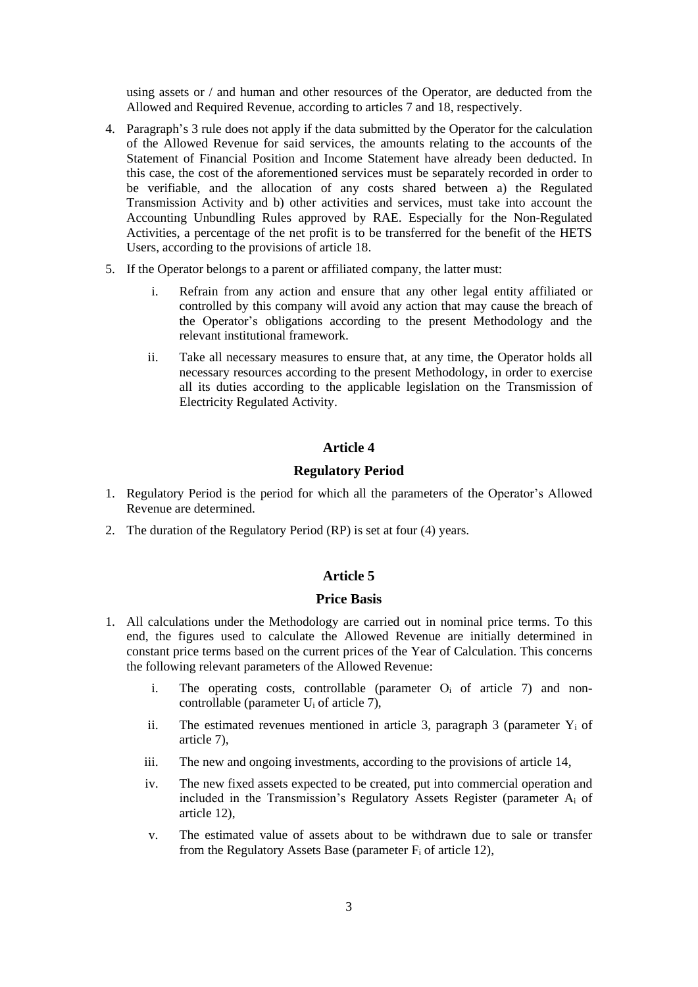using assets or / and human and other resources of the Operator, are deducted from the Allowed and Required Revenue, according to articles 7 and 18, respectively.

- 4. Paragraph's 3 rule does not apply if the data submitted by the Operator for the calculation of the Allowed Revenue for said services, the amounts relating to the accounts of the Statement of Financial Position and Income Statement have already been deducted. In this case, the cost of the aforementioned services must be separately recorded in order to be verifiable, and the allocation of any costs shared between a) the Regulated Transmission Activity and b) other activities and services, must take into account the Accounting Unbundling Rules approved by RAE. Especially for the Non-Regulated Activities, a percentage of the net profit is to be transferred for the benefit of the HETS Users, according to the provisions of article 18.
- 5. If the Operator belongs to a parent or affiliated company, the latter must:
	- i. Refrain from any action and ensure that any other legal entity affiliated or controlled by this company will avoid any action that may cause the breach of the Operator's obligations according to the present Methodology and the relevant institutional framework.
	- ii. Take all necessary measures to ensure that, at any time, the Operator holds all necessary resources according to the present Methodology, in order to exercise all its duties according to the applicable legislation on the Transmission of Electricity Regulated Activity.

#### **Article 4**

### **Regulatory Period**

- 1. Regulatory Period is the period for which all the parameters of the Operator's Allowed Revenue are determined.
- 2. The duration of the Regulatory Period (RP) is set at four (4) years.

#### **Article 5**

#### **Price Basis**

- 1. All calculations under the Methodology are carried out in nominal price terms. To this end, the figures used to calculate the Allowed Revenue are initially determined in constant price terms based on the current prices of the Year of Calculation. This concerns the following relevant parameters of the Allowed Revenue:
	- i. The operating costs, controllable (parameter O<sub>i</sub> of article 7) and noncontrollable (parameter  $U_i$  of article 7),
	- ii. The estimated revenues mentioned in article 3, paragraph 3 (parameter  $Y_i$  of article 7),
	- iii. The new and ongoing investments, according to the provisions of article 14,
	- iv. The new fixed assets expected to be created, put into commercial operation and included in the Transmission's Regulatory Assets Register (parameter A<sup>i</sup> of article 12),
	- v. The estimated value of assets about to be withdrawn due to sale or transfer from the Regulatory Assets Base (parameter  $F_i$  of article 12),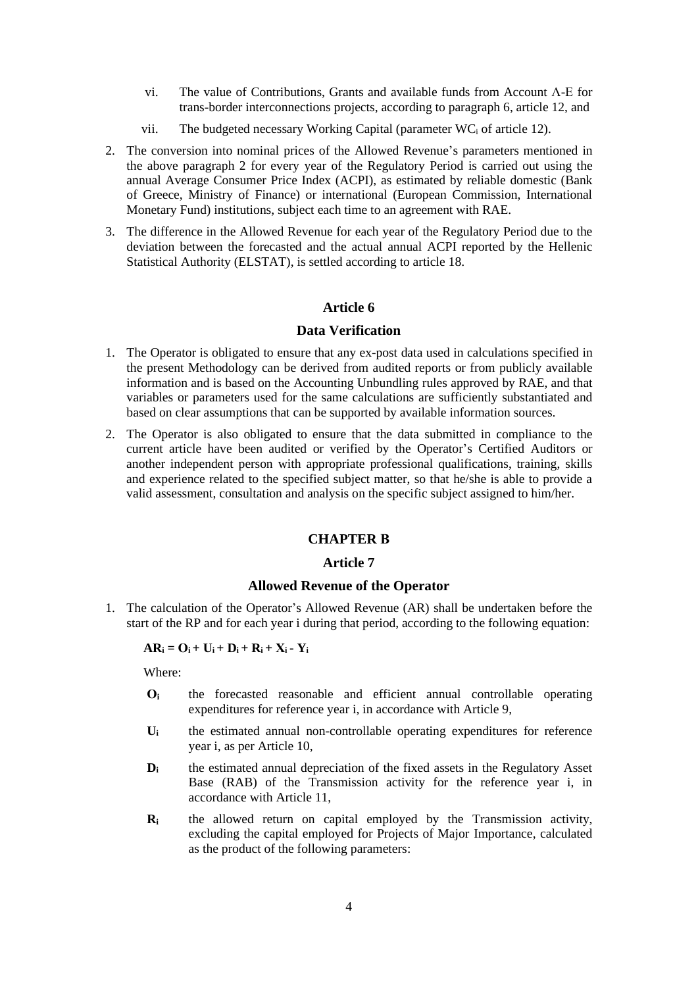- vi. The value of Contributions, Grants and available funds from Account Λ-Ε for trans-border interconnections projects, according to paragraph 6, article 12, and
- vii. The budgeted necessary Working Capital (parameter  $WC_i$  of article 12).
- 2. The conversion into nominal prices of the Allowed Revenue's parameters mentioned in the above paragraph 2 for every year of the Regulatory Period is carried out using the annual Average Consumer Price Index (ACPI), as estimated by reliable domestic (Bank of Greece, Ministry of Finance) or international (European Commission, International Monetary Fund) institutions, subject each time to an agreement with RAE.
- 3. The difference in the Allowed Revenue for each year of the Regulatory Period due to the deviation between the forecasted and the actual annual ACPI reported by the Hellenic Statistical Authority (ELSTAT), is settled according to article 18.

## **Data Verification**

- 1. The Operator is obligated to ensure that any ex-post data used in calculations specified in the present Methodology can be derived from audited reports or from publicly available information and is based on the Accounting Unbundling rules approved by RAE, and that variables or parameters used for the same calculations are sufficiently substantiated and based on clear assumptions that can be supported by available information sources.
- 2. The Operator is also obligated to ensure that the data submitted in compliance to the current article have been audited or verified by the Operator's Certified Auditors or another independent person with appropriate professional qualifications, training, skills and experience related to the specified subject matter, so that he/she is able to provide a valid assessment, consultation and analysis on the specific subject assigned to him/her.

#### **CHAPTER Β**

#### **Article 7**

#### **Allowed Revenue of the Operator**

1. The calculation of the Operator's Allowed Revenue (AR) shall be undertaken before the start of the RP and for each year i during that period, according to the following equation:

#### $AR_i = O_i + U_i + D_i + R_i + X_i - Y_i$

Where:

- **Ο<sup>i</sup>** the forecasted reasonable and efficient annual controllable operating expenditures for reference year i, in accordance with Article 9,
- **U<sup>i</sup>** the estimated annual non-controllable operating expenditures for reference year i, as per Article 10,
- **D**<sub>i</sub> the estimated annual depreciation of the fixed assets in the Regulatory Asset Base (RAB) of the Transmission activity for the reference year i, in accordance with Article 11,
- **R<sup>i</sup>** the allowed return on capital employed by the Transmission activity, excluding the capital employed for Projects of Major Importance, calculated as the product of the following parameters: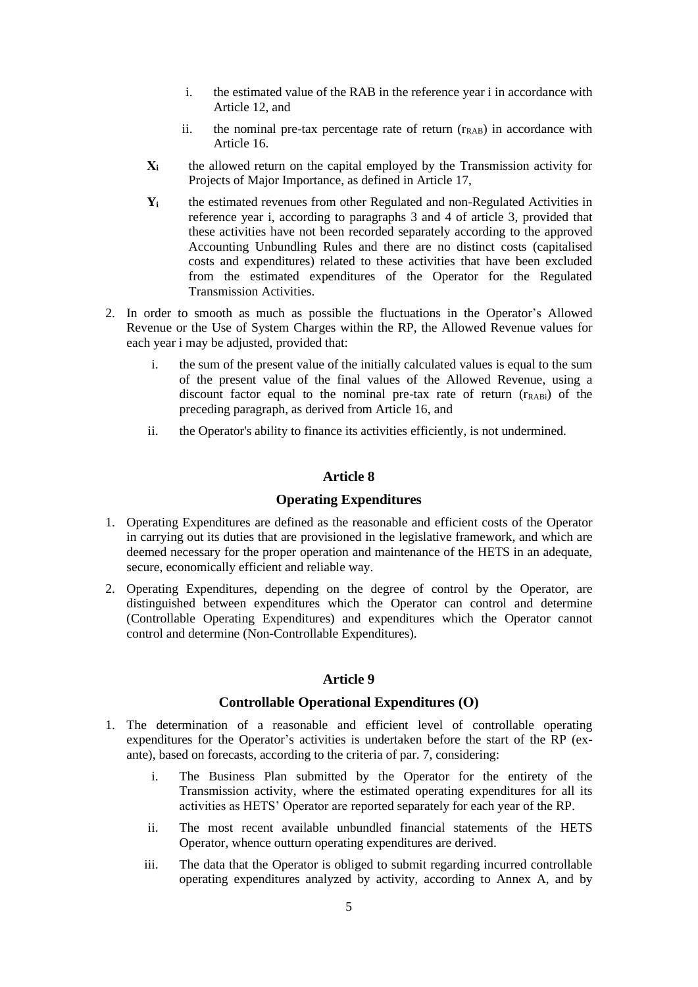- i. the estimated value of the RAB in the reference year i in accordance with Article 12, and
- ii. the nominal pre-tax percentage rate of return  $(r<sub>RAB</sub>)$  in accordance with Article 16.
- **Χ<sup>i</sup>** the allowed return on the capital employed by the Transmission activity for Projects of Major Importance, as defined in Article 17,
- **Y<sup>i</sup>** the estimated revenues from other Regulated and non-Regulated Activities in reference year i, according to paragraphs 3 and 4 of article 3, provided that these activities have not been recorded separately according to the approved Accounting Unbundling Rules and there are no distinct costs (capitalised costs and expenditures) related to these activities that have been excluded from the estimated expenditures of the Operator for the Regulated Transmission Activities.
- 2. In order to smooth as much as possible the fluctuations in the Operator's Allowed Revenue or the Use of System Charges within the RP, the Allowed Revenue values for each year i may be adjusted, provided that:
	- i. the sum of the present value of the initially calculated values is equal to the sum of the present value of the final values of the Allowed Revenue, using a discount factor equal to the nominal pre-tax rate of return ( $r_{RABi}$ ) of the preceding paragraph, as derived from Article 16, and
	- ii. the Operator's ability to finance its activities efficiently, is not undermined.

### **Operating Expenditures**

- 1. Operating Expenditures are defined as the reasonable and efficient costs of the Operator in carrying out its duties that are provisioned in the legislative framework, and which are deemed necessary for the proper operation and maintenance of the HETS in an adequate, secure, economically efficient and reliable way.
- 2. Operating Expenditures, depending on the degree of control by the Operator, are distinguished between expenditures which the Operator can control and determine (Controllable Operating Expenditures) and expenditures which the Operator cannot control and determine (Non-Controllable Expenditures).

## **Article 9**

## **Controllable Operational Expenditures (Ο)**

- 1. The determination of a reasonable and efficient level of controllable operating expenditures for the Operator's activities is undertaken before the start of the RP (exante), based on forecasts, according to the criteria of par. 7, considering:
	- i. The Business Plan submitted by the Operator for the entirety of the Transmission activity, where the estimated operating expenditures for all its activities as HETS' Operator are reported separately for each year of the RP.
	- ii. The most recent available unbundled financial statements of the HETS Operator, whence outturn operating expenditures are derived.
	- iii. The data that the Operator is obliged to submit regarding incurred controllable operating expenditures analyzed by activity, according to Annex A, and by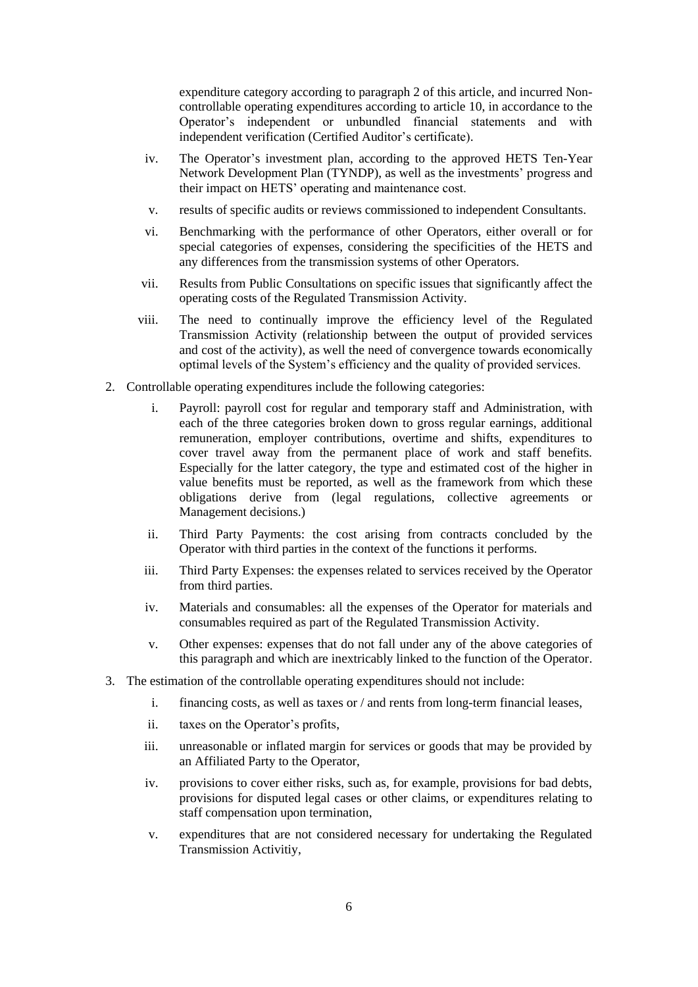expenditure category according to paragraph 2 of this article, and incurred Noncontrollable operating expenditures according to article 10, in accordance to the Operator's independent or unbundled financial statements and with independent verification (Certified Auditor's certificate).

- iv. The Operator's investment plan, according to the approved HETS Ten-Year Network Development Plan (TYNDP), as well as the investments' progress and their impact on HETS' operating and maintenance cost.
- v. results of specific audits or reviews commissioned to independent Consultants.
- vi. Benchmarking with the performance of other Operators, either overall or for special categories of expenses, considering the specificities of the HETS and any differences from the transmission systems of other Operators.
- vii. Results from Public Consultations on specific issues that significantly affect the operating costs of the Regulated Transmission Activity.
- viii. The need to continually improve the efficiency level of the Regulated Transmission Activity (relationship between the output of provided services and cost of the activity), as well the need of convergence towards economically optimal levels of the System's efficiency and the quality of provided services.
- 2. Controllable operating expenditures include the following categories:
	- i. Payroll: payroll cost for regular and temporary staff and Administration, with each of the three categories broken down to gross regular earnings, additional remuneration, employer contributions, overtime and shifts, expenditures to cover travel away from the permanent place of work and staff benefits. Especially for the latter category, the type and estimated cost of the higher in value benefits must be reported, as well as the framework from which these obligations derive from (legal regulations, collective agreements or Management decisions.)
	- ii. Third Party Payments: the cost arising from contracts concluded by the Operator with third parties in the context of the functions it performs.
	- iii. Third Party Expenses: the expenses related to services received by the Operator from third parties.
	- iv. Materials and consumables: all the expenses of the Operator for materials and consumables required as part of the Regulated Transmission Activity.
	- v. Other expenses: expenses that do not fall under any of the above categories of this paragraph and which are inextricably linked to the function of the Operator.
- 3. The estimation of the controllable operating expenditures should not include:
	- i. financing costs, as well as taxes or / and rents from long-term financial leases,
	- ii. taxes on the Operator's profits,
	- iii. unreasonable or inflated margin for services or goods that may be provided by an Affiliated Party to the Operator,
	- iv. provisions to cover either risks, such as, for example, provisions for bad debts, provisions for disputed legal cases or other claims, or expenditures relating to staff compensation upon termination,
	- v. expenditures that are not considered necessary for undertaking the Regulated Transmission Activitiy,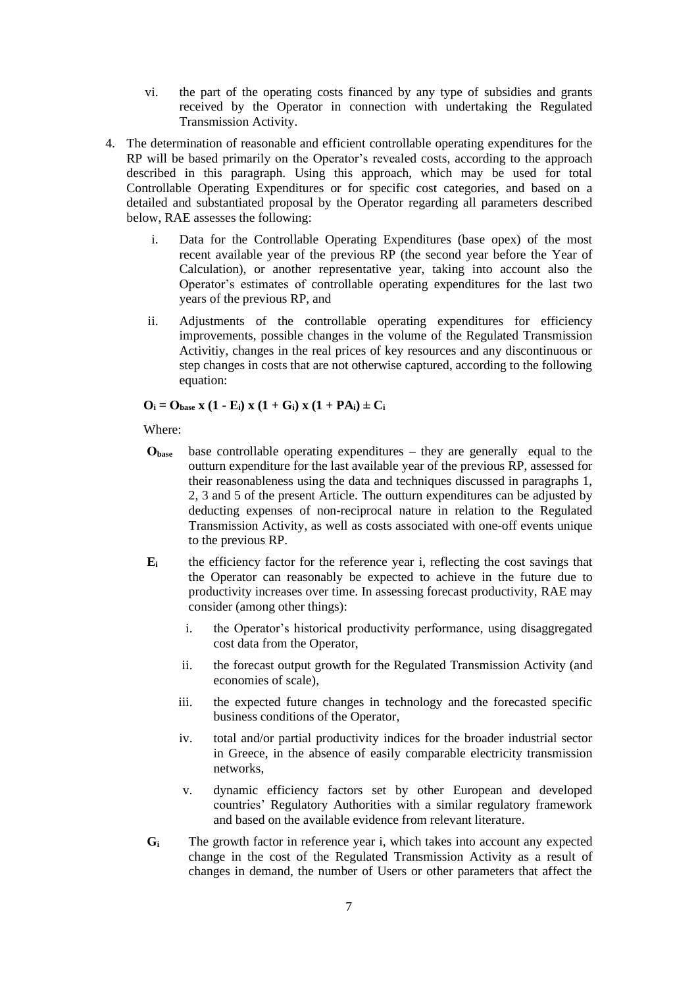- vi. the part of the operating costs financed by any type of subsidies and grants received by the Operator in connection with undertaking the Regulated Transmission Activity.
- 4. The determination of reasonable and efficient controllable operating expenditures for the RP will be based primarily on the Operator's revealed costs, according to the approach described in this paragraph. Using this approach, which may be used for total Controllable Operating Expenditures or for specific cost categories, and based on a detailed and substantiated proposal by the Operator regarding all parameters described below, RAE assesses the following:
	- i. Data for the Controllable Operating Expenditures (base opex) of the most recent available year of the previous RP (the second year before the Year of Calculation), or another representative year, taking into account also the Operator's estimates of controllable operating expenditures for the last two years of the previous RP, and
	- ii. Adjustments of the controllable operating expenditures for efficiency improvements, possible changes in the volume of the Regulated Transmission Activitiy, changes in the real prices of key resources and any discontinuous or step changes in costs that are not otherwise captured, according to the following equation:

## $O_i = O_{base}$  **x**  $(1 - E_i)$  **x**  $(1 + G_i)$  **x**  $(1 + PA_i) \pm C_i$

Where:

- **Οbase** base controllable operating expenditures they are generally equal to the outturn expenditure for the last available year of the previous RP, assessed for their reasonableness using the data and techniques discussed in paragraphs 1, 2, 3 and 5 of the present Article. The outturn expenditures can be adjusted by deducting expenses of non-reciprocal nature in relation to the Regulated Transmission Activity, as well as costs associated with one-off events unique to the previous RP.
- **E<sup>i</sup>** the efficiency factor for the reference year i, reflecting the cost savings that the Operator can reasonably be expected to achieve in the future due to productivity increases over time. In assessing forecast productivity, RAE may consider (among other things):
	- i. the Operator's historical productivity performance, using disaggregated cost data from the Operator,
	- ii. the forecast output growth for the Regulated Transmission Activity (and economies of scale),
	- iii. the expected future changes in technology and the forecasted specific business conditions of the Operator,
	- iv. total and/or partial productivity indices for the broader industrial sector in Greece, in the absence of easily comparable electricity transmission networks,
	- v. dynamic efficiency factors set by other European and developed countries' Regulatory Authorities with a similar regulatory framework and based on the available evidence from relevant literature.
- **G<sup>i</sup>** The growth factor in reference year i, which takes into account any expected change in the cost of the Regulated Transmission Activity as a result of changes in demand, the number of Users or other parameters that affect the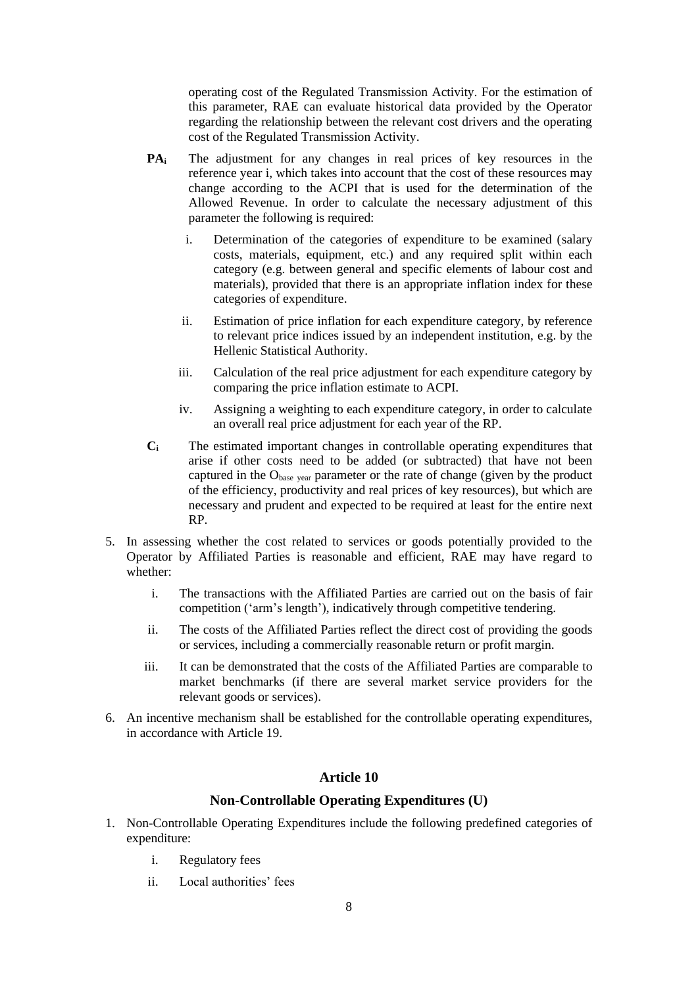operating cost of the Regulated Transmission Activity. For the estimation of this parameter, RAE can evaluate historical data provided by the Operator regarding the relationship between the relevant cost drivers and the operating cost of the Regulated Transmission Activity.

- **PAi** The adjustment for any changes in real prices of key resources in the reference year i, which takes into account that the cost of these resources may change according to the ACPI that is used for the determination of the Allowed Revenue. In order to calculate the necessary adjustment of this parameter the following is required:
	- i. Determination of the categories of expenditure to be examined (salary costs, materials, equipment, etc.) and any required split within each category (e.g. between general and specific elements of labour cost and materials), provided that there is an appropriate inflation index for these categories of expenditure.
	- ii. Estimation of price inflation for each expenditure category, by reference to relevant price indices issued by an independent institution, e.g. by the Hellenic Statistical Authority.
	- iii. Calculation of the real price adjustment for each expenditure category by comparing the price inflation estimate to ACPI.
	- iv. Assigning a weighting to each expenditure category, in order to calculate an overall real price adjustment for each year of the RP.
- **C<sup>i</sup>** The estimated important changes in controllable operating expenditures that arise if other costs need to be added (or subtracted) that have not been captured in the Obase year parameter or the rate of change (given by the product of the efficiency, productivity and real prices of key resources), but which are necessary and prudent and expected to be required at least for the entire next RP.
- 5. In assessing whether the cost related to services or goods potentially provided to the Operator by Affiliated Parties is reasonable and efficient, RAE may have regard to whether:
	- i. The transactions with the Affiliated Parties are carried out on the basis of fair competition ('arm's length'), indicatively through competitive tendering.
	- ii. The costs of the Affiliated Parties reflect the direct cost of providing the goods or services, including a commercially reasonable return or profit margin.
	- iii. It can be demonstrated that the costs of the Affiliated Parties are comparable to market benchmarks (if there are several market service providers for the relevant goods or services).
- 6. An incentive mechanism shall be established for the controllable operating expenditures, in accordance with Article 19.

## **Article 10**

### **Non-Controllable Operating Expenditures (U)**

- 1. Non-Controllable Operating Expenditures include the following predefined categories of expenditure:
	- i. Regulatory fees
	- ii. Local authorities' fees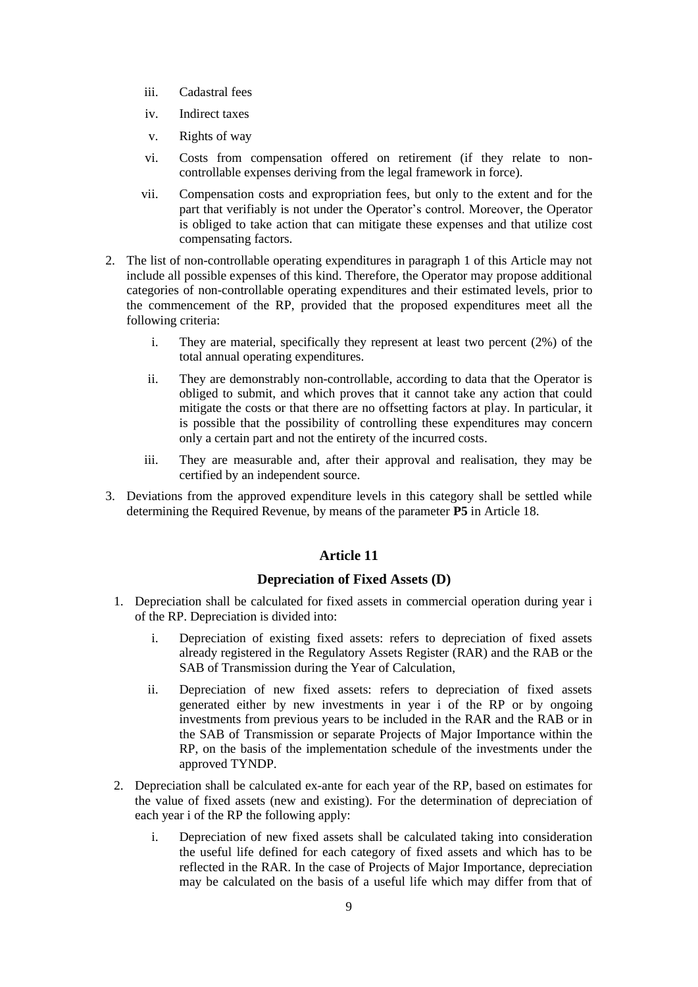- iii. Cadastral fees
- iv. Indirect taxes
- v. Rights of way
- vi. Costs from compensation offered on retirement (if they relate to noncontrollable expenses deriving from the legal framework in force).
- vii. Compensation costs and expropriation fees, but only to the extent and for the part that verifiably is not under the Operator's control. Moreover, the Operator is obliged to take action that can mitigate these expenses and that utilize cost compensating factors.
- 2. The list of non-controllable operating expenditures in paragraph 1 of this Article may not include all possible expenses of this kind. Therefore, the Operator may propose additional categories of non-controllable operating expenditures and their estimated levels, prior to the commencement of the RP, provided that the proposed expenditures meet all the following criteria:
	- i. They are material, specifically they represent at least two percent (2%) of the total annual operating expenditures.
	- ii. They are demonstrably non-controllable, according to data that the Operator is obliged to submit, and which proves that it cannot take any action that could mitigate the costs or that there are no offsetting factors at play. In particular, it is possible that the possibility of controlling these expenditures may concern only a certain part and not the entirety of the incurred costs.
	- iii. They are measurable and, after their approval and realisation, they may be certified by an independent source.
- 3. Deviations from the approved expenditure levels in this category shall be settled while determining the Required Revenue, by means of the parameter **P5** in Article 18.

### **Depreciation of Fixed Assets (D)**

- 1. Depreciation shall be calculated for fixed assets in commercial operation during year i of the RP. Depreciation is divided into:
	- i. Depreciation of existing fixed assets: refers to depreciation of fixed assets already registered in the Regulatory Assets Register (RAR) and the RAB or the SAB of Transmission during the Year of Calculation,
	- ii. Depreciation of new fixed assets: refers to depreciation of fixed assets generated either by new investments in year i of the RP or by ongoing investments from previous years to be included in the RAR and the RAB or in the SAB of Transmission or separate Projects of Major Importance within the RP, on the basis of the implementation schedule of the investments under the approved TYNDP.
- 2. Depreciation shall be calculated ex-ante for each year of the RP, based on estimates for the value of fixed assets (new and existing). For the determination of depreciation of each year i of the RP the following apply:
	- i. Depreciation of new fixed assets shall be calculated taking into consideration the useful life defined for each category of fixed assets and which has to be reflected in the RAR. In the case of Projects of Major Importance, depreciation may be calculated on the basis of a useful life which may differ from that of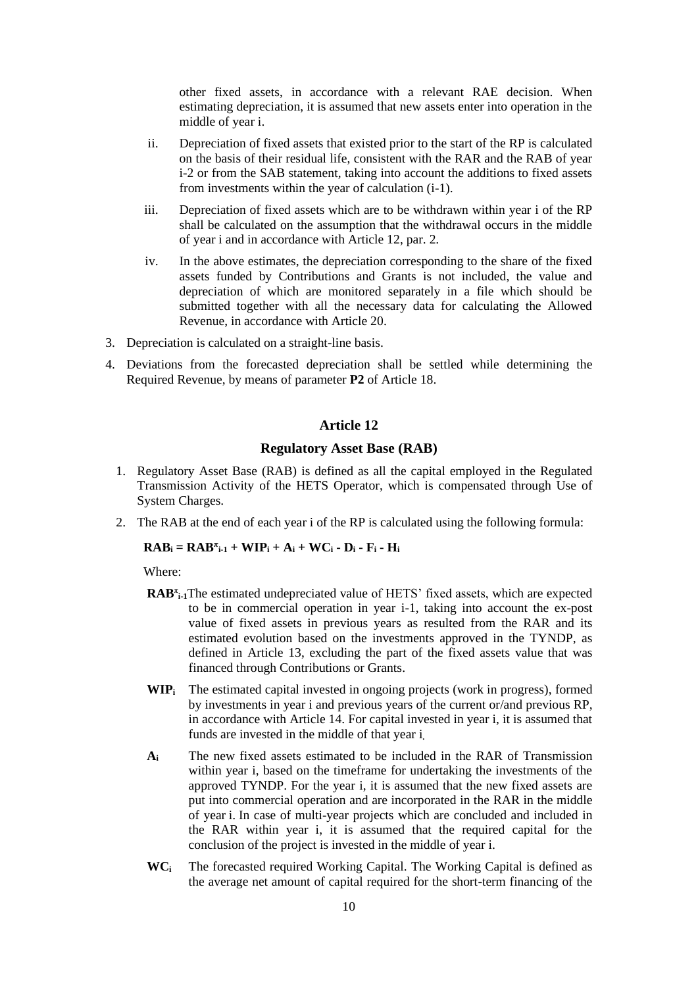other fixed assets, in accordance with a relevant RAE decision. When estimating depreciation, it is assumed that new assets enter into operation in the middle of year i.

- ii. Depreciation of fixed assets that existed prior to the start of the RP is calculated on the basis of their residual life, consistent with the RAR and the RAB of year i-2 or from the SAB statement, taking into account the additions to fixed assets from investments within the year of calculation (i-1).
- iii. Depreciation of fixed assets which are to be withdrawn within year i of the RP shall be calculated on the assumption that the withdrawal occurs in the middle of year i and in accordance with Article 12, par. 2.
- iv. In the above estimates, the depreciation corresponding to the share of the fixed assets funded by Contributions and Grants is not included, the value and depreciation of which are monitored separately in a file which should be submitted together with all the necessary data for calculating the Allowed Revenue, in accordance with Article 20.
- 3. Depreciation is calculated on a straight-line basis.
- 4. Deviations from the forecasted depreciation shall be settled while determining the Required Revenue, by means of parameter **P2** of Article 18.

#### **Article 12**

#### **Regulatory Asset Base (RAB)**

- 1. Regulatory Asset Base (RAB) is defined as all the capital employed in the Regulated Transmission Activity of the HETS Operator, which is compensated through Use of System Charges.
- 2. The RAB at the end of each year i of the RP is calculated using the following formula:

 $\mathbf{RAB_i} = \mathbf{RAB^{\pi}_{i-1}} + \mathbf{WIP_i} + \mathbf{A_i} + \mathbf{WC_i} \cdot \mathbf{D_i} \cdot \mathbf{F_i} \cdot \mathbf{H_i}$ 

Where:

- RAB<sup>T<sub>1-1</sub>The estimated undepreciated value of HETS' fixed assets, which are expected</sup> to be in commercial operation in year i-1, taking into account the ex-post value of fixed assets in previous years as resulted from the RAR and its estimated evolution based on the investments approved in the TYNDP, as defined in Article 13, excluding the part of the fixed assets value that was financed through Contributions or Grants.
- **WIP<sup>i</sup>** The estimated capital invested in ongoing projects (work in progress), formed by investments in year i and previous years of the current or/and previous RP, in accordance with Article 14. For capital invested in year i, it is assumed that funds are invested in the middle of that year i**.**
- **A<sup>i</sup>** The new fixed assets estimated to be included in the RAR of Transmission within year i, based on the timeframe for undertaking the investments of the approved TYNDP. For the year i, it is assumed that the new fixed assets are put into commercial operation and are incorporated in the RAR in the middle of year i. In case of multi-year projects which are concluded and included in the RAR within year i, it is assumed that the required capital for the conclusion of the project is invested in the middle of year i.
- **WC<sup>i</sup>** The forecasted required Working Capital. The Working Capital is defined as the average net amount of capital required for the short-term financing of the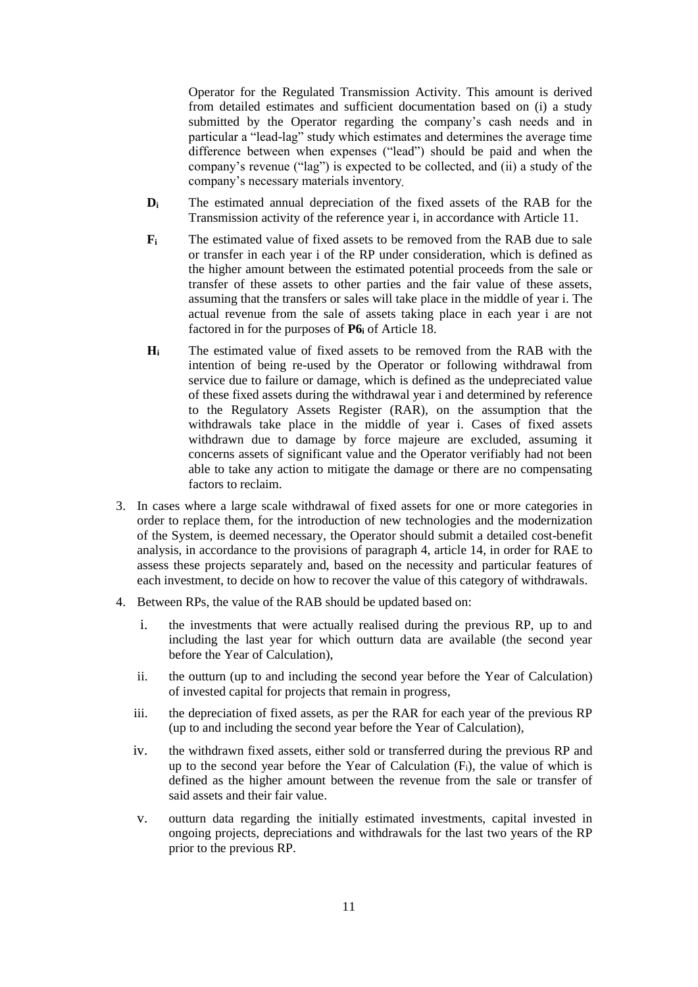Operator for the Regulated Transmission Activity. This amount is derived from detailed estimates and sufficient documentation based on (i) a study submitted by the Operator regarding the company's cash needs and in particular a "lead-lag" study which estimates and determines the average time difference between when expenses ("lead") should be paid and when the company's revenue ("lag") is expected to be collected, and (ii) a study of the company's necessary materials inventory**.**

- **D<sup>i</sup>** The estimated annual depreciation of the fixed assets of the RAB for the Transmission activity of the reference year i, in accordance with Article 11.
- **F<sup>i</sup>** The estimated value of fixed assets to be removed from the RAB due to sale or transfer in each year i of the RP under consideration, which is defined as the higher amount between the estimated potential proceeds from the sale or transfer of these assets to other parties and the fair value of these assets, assuming that the transfers or sales will take place in the middle of year i. The actual revenue from the sale of assets taking place in each year i are not factored in for the purposes of **P6<sup>i</sup>** of Article 18.
- **Η<sup>i</sup>** The estimated value of fixed assets to be removed from the RAB with the intention of being re-used by the Operator or following withdrawal from service due to failure or damage, which is defined as the undepreciated value of these fixed assets during the withdrawal year i and determined by reference to the Regulatory Assets Register (RAR), on the assumption that the withdrawals take place in the middle of year i. Cases of fixed assets withdrawn due to damage by force majeure are excluded, assuming it concerns assets of significant value and the Operator verifiably had not been able to take any action to mitigate the damage or there are no compensating factors to reclaim.
- 3. In cases where a large scale withdrawal of fixed assets for one or more categories in order to replace them, for the introduction of new technologies and the modernization of the System, is deemed necessary, the Operator should submit a detailed cost-benefit analysis, in accordance to the provisions of paragraph 4, article 14, in order for RAE to assess these projects separately and, based on the necessity and particular features of each investment, to decide on how to recover the value of this category of withdrawals.
- 4. Between RPs, the value of the RAB should be updated based on:
	- i. the investments that were actually realised during the previous RP, up to and including the last year for which outturn data are available (the second year before the Year of Calculation),
	- ii. the outturn (up to and including the second year before the Year of Calculation) of invested capital for projects that remain in progress,
	- iii. the depreciation of fixed assets, as per the RAR for each year of the previous RP (up to and including the second year before the Year of Calculation),
	- iv. the withdrawn fixed assets, either sold or transferred during the previous RP and up to the second year before the Year of Calculation  $(F_i)$ , the value of which is defined as the higher amount between the revenue from the sale or transfer of said assets and their fair value.
	- v. outturn data regarding the initially estimated investments, capital invested in ongoing projects, depreciations and withdrawals for the last two years of the RP prior to the previous RP.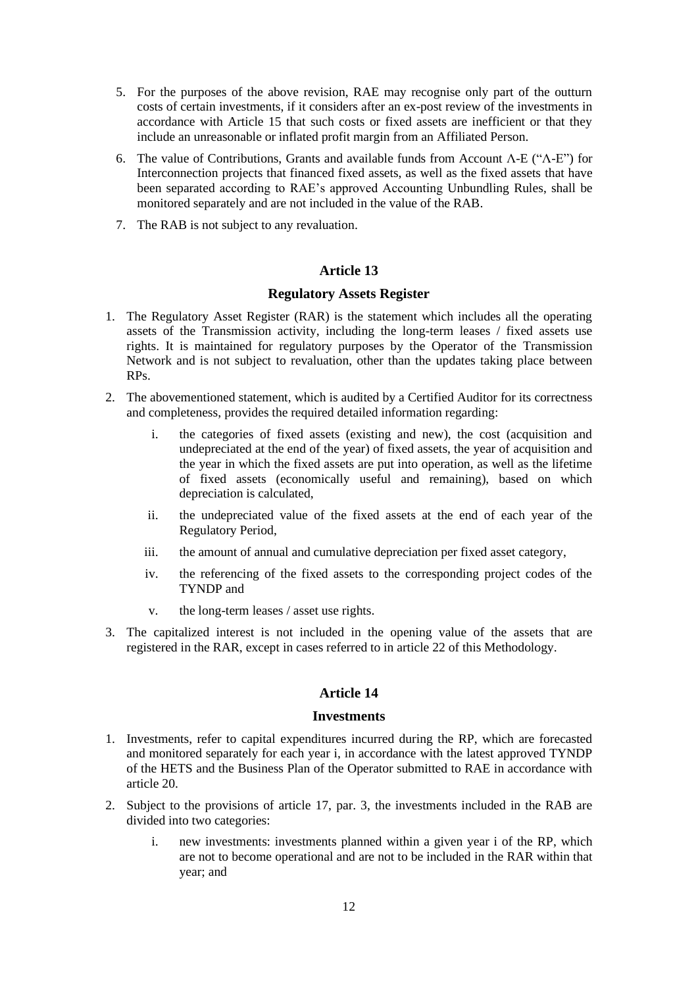- 5. For the purposes of the above revision, RAE may recognise only part of the outturn costs of certain investments, if it considers after an ex-post review of the investments in accordance with Article 15 that such costs or fixed assets are inefficient or that they include an unreasonable or inflated profit margin from an Affiliated Person.
- 6. The value of Contributions, Grants and available funds from Account Λ-E ("Λ-Ε") for Interconnection projects that financed fixed assets, as well as the fixed assets that have been separated according to RAE's approved Accounting Unbundling Rules, shall be monitored separately and are not included in the value of the RAB.
- 7. The RAB is not subject to any revaluation.

#### **Regulatory Assets Register**

- 1. The Regulatory Asset Register (RAR) is the statement which includes all the operating assets of the Transmission activity, including the long-term leases / fixed assets use rights. It is maintained for regulatory purposes by the Operator of the Transmission Network and is not subject to revaluation, other than the updates taking place between RPs.
- 2. The abovementioned statement, which is audited by a Certified Auditor for its correctness and completeness, provides the required detailed information regarding:
	- i. the categories of fixed assets (existing and new), the cost (acquisition and undepreciated at the end of the year) of fixed assets, the year of acquisition and the year in which the fixed assets are put into operation, as well as the lifetime of fixed assets (economically useful and remaining), based on which depreciation is calculated,
	- ii. the undepreciated value of the fixed assets at the end of each year of the Regulatory Period,
	- iii. the amount of annual and cumulative depreciation per fixed asset category,
	- iv. the referencing of the fixed assets to the corresponding project codes of the TYNDP and
	- v. the long-term leases / asset use rights.
- 3. The capitalized interest is not included in the opening value of the assets that are registered in the RAR, except in cases referred to in article 22 of this Methodology.

### **Article 14**

#### **Investments**

- 1. Investments, refer to capital expenditures incurred during the RP, which are forecasted and monitored separately for each year i, in accordance with the latest approved TYNDP of the HETS and the Business Plan of the Operator submitted to RAE in accordance with article 20.
- 2. Subject to the provisions of article 17, par. 3, the investments included in the RAB are divided into two categories:
	- i. new investments: investments planned within a given year i of the RP, which are not to become operational and are not to be included in the RAR within that year; and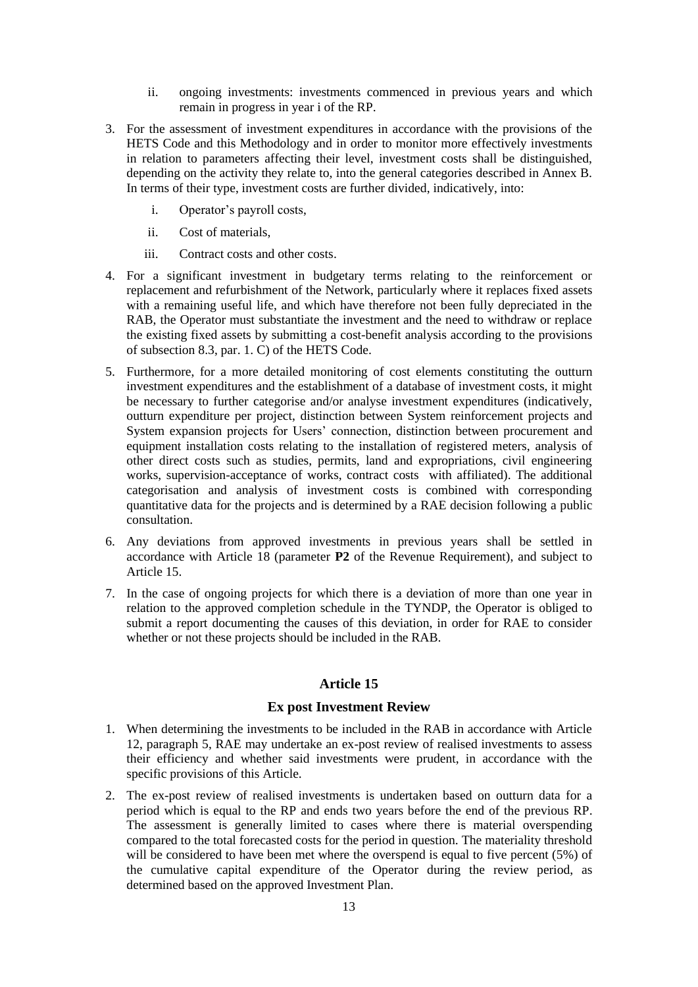- ii. ongoing investments: investments commenced in previous years and which remain in progress in year i of the RP.
- 3. For the assessment of investment expenditures in accordance with the provisions of the HETS Code and this Methodology and in order to monitor more effectively investments in relation to parameters affecting their level, investment costs shall be distinguished, depending on the activity they relate to, into the general categories described in Annex B. In terms of their type, investment costs are further divided, indicatively, into:
	- i. Operator's payroll costs,
	- ii. Cost of materials,
	- iii. Contract costs and other costs.
- 4. For a significant investment in budgetary terms relating to the reinforcement or replacement and refurbishment of the Network, particularly where it replaces fixed assets with a remaining useful life, and which have therefore not been fully depreciated in the RAB, the Operator must substantiate the investment and the need to withdraw or replace the existing fixed assets by submitting a cost-benefit analysis according to the provisions of subsection 8.3, par. 1. C) of the HETS Code.
- 5. Furthermore, for a more detailed monitoring of cost elements constituting the outturn investment expenditures and the establishment of a database of investment costs, it might be necessary to further categorise and/or analyse investment expenditures (indicatively, outturn expenditure per project, distinction between System reinforcement projects and System expansion projects for Users' connection, distinction between procurement and equipment installation costs relating to the installation of registered meters, analysis of other direct costs such as studies, permits, land and expropriations, civil engineering works, supervision-acceptance of works, contract costs with affiliated). The additional categorisation and analysis of investment costs is combined with corresponding quantitative data for the projects and is determined by a RAE decision following a public consultation.
- 6. Any deviations from approved investments in previous years shall be settled in accordance with Article 18 (parameter **P2** of the Revenue Requirement), and subject to Article 15.
- 7. In the case of ongoing projects for which there is a deviation of more than one year in relation to the approved completion schedule in the TYNDP, the Operator is obliged to submit a report documenting the causes of this deviation, in order for RAE to consider whether or not these projects should be included in the RAB.

## **Ex post Investment Review**

- 1. When determining the investments to be included in the RAB in accordance with Article 12, paragraph 5, RAE may undertake an ex-post review of realised investments to assess their efficiency and whether said investments were prudent, in accordance with the specific provisions of this Article.
- 2. The ex-post review of realised investments is undertaken based on outturn data for a period which is equal to the RP and ends two years before the end of the previous RP. The assessment is generally limited to cases where there is material overspending compared to the total forecasted costs for the period in question. The materiality threshold will be considered to have been met where the overspend is equal to five percent (5%) of the cumulative capital expenditure of the Operator during the review period, as determined based on the approved Investment Plan.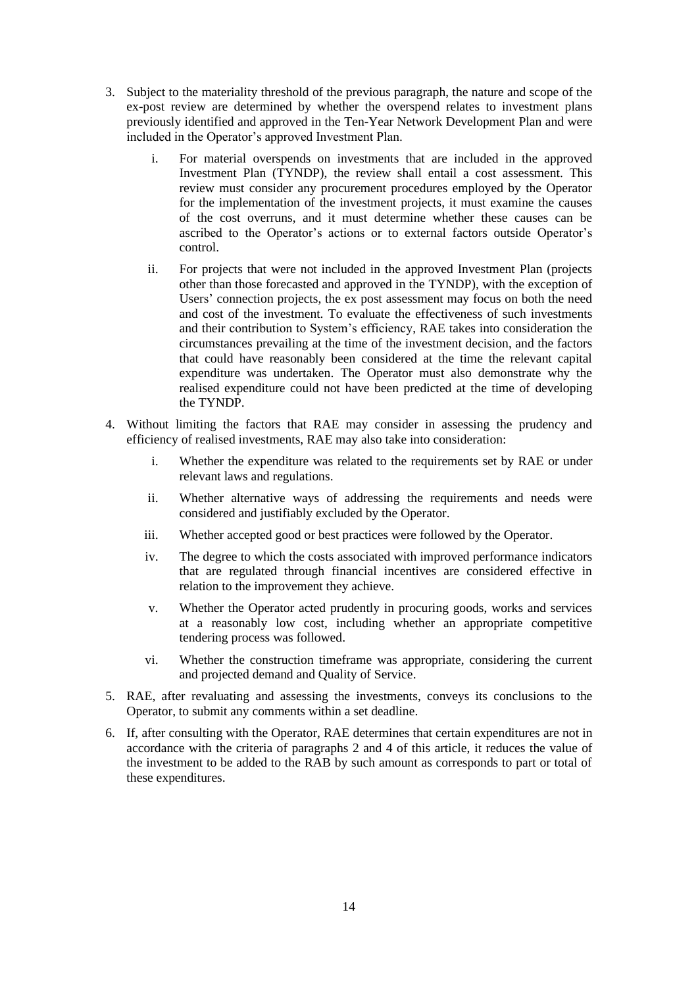- 3. Subject to the materiality threshold of the previous paragraph, the nature and scope of the ex-post review are determined by whether the overspend relates to investment plans previously identified and approved in the Ten-Year Network Development Plan and were included in the Operator's approved Investment Plan.
	- i. For material overspends on investments that are included in the approved Investment Plan (TYNDP), the review shall entail a cost assessment. This review must consider any procurement procedures employed by the Operator for the implementation of the investment projects, it must examine the causes of the cost overruns, and it must determine whether these causes can be ascribed to the Operator's actions or to external factors outside Operator's control.
	- ii. For projects that were not included in the approved Investment Plan (projects other than those forecasted and approved in the TYNDP), with the exception of Users' connection projects, the ex post assessment may focus on both the need and cost of the investment. To evaluate the effectiveness of such investments and their contribution to System's efficiency, RAE takes into consideration the circumstances prevailing at the time of the investment decision, and the factors that could have reasonably been considered at the time the relevant capital expenditure was undertaken. The Operator must also demonstrate why the realised expenditure could not have been predicted at the time of developing the TYNDP.
- 4. Without limiting the factors that RAE may consider in assessing the prudency and efficiency of realised investments, RAE may also take into consideration:
	- i. Whether the expenditure was related to the requirements set by RAE or under relevant laws and regulations.
	- ii. Whether alternative ways of addressing the requirements and needs were considered and justifiably excluded by the Operator.
	- iii. Whether accepted good or best practices were followed by the Operator.
	- iv. The degree to which the costs associated with improved performance indicators that are regulated through financial incentives are considered effective in relation to the improvement they achieve.
	- v. Whether the Operator acted prudently in procuring goods, works and services at a reasonably low cost, including whether an appropriate competitive tendering process was followed.
	- vi. Whether the construction timeframe was appropriate, considering the current and projected demand and Quality of Service.
- 5. RAE, after revaluating and assessing the investments, conveys its conclusions to the Operator, to submit any comments within a set deadline.
- 6. If, after consulting with the Operator, RAE determines that certain expenditures are not in accordance with the criteria of paragraphs 2 and 4 of this article, it reduces the value of the investment to be added to the RAB by such amount as corresponds to part or total of these expenditures.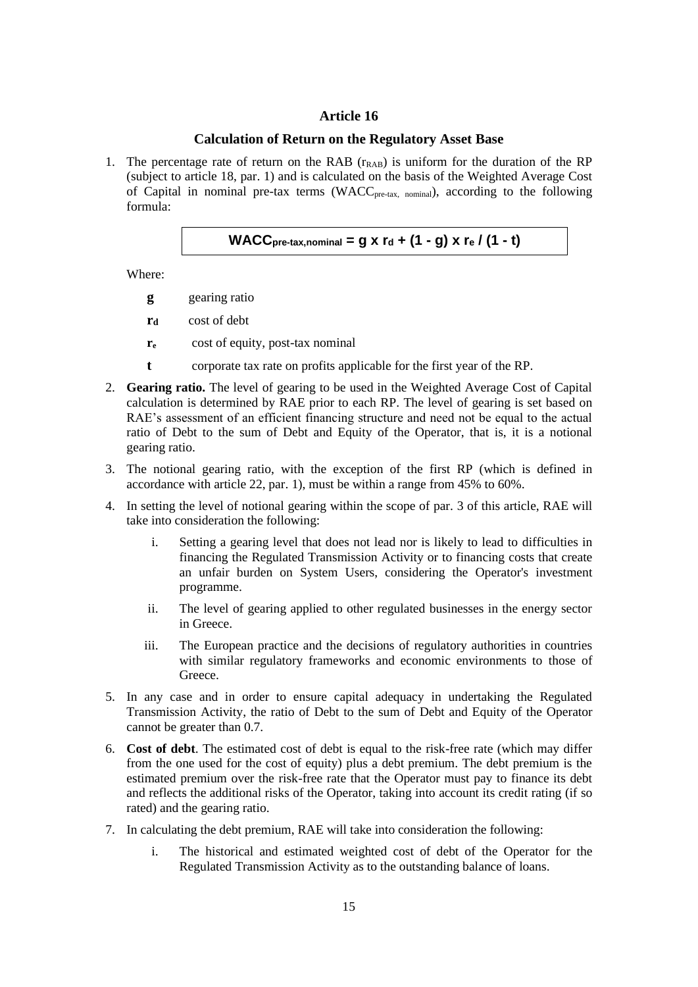## **Calculation of Return on the Regulatory Asset Base**

1. The percentage rate of return on the RAB  $(r<sub>RAB</sub>)$  is uniform for the duration of the RP (subject to article 18, par. 1) and is calculated on the basis of the Weighted Average Cost of Capital in nominal pre-tax terms (WACC<sub>pre-tax, nominal</sub>), according to the following formula:

WACC<sub>pre-tax,nominal</sub> = 
$$
g \times r_d + (1 - g) \times r_e / (1 - t)
$$

Where:

- **g** gearing ratio
- **r<sup>d</sup>** cost of debt
- **r<sup>e</sup>** cost of equity, post-tax nominal
- **t** corporate tax rate on profits applicable for the first year of the RP.
- 2. **Gearing ratio.** The level of gearing to be used in the Weighted Average Cost of Capital calculation is determined by RAE prior to each RP. The level of gearing is set based on RAE's assessment of an efficient financing structure and need not be equal to the actual ratio of Debt to the sum of Debt and Equity of the Operator, that is, it is a notional gearing ratio.
- 3. The notional gearing ratio, with the exception of the first RP (which is defined in accordance with article 22, par. 1), must be within a range from 45% to 60%.
- 4. In setting the level of notional gearing within the scope of par. 3 of this article, RAE will take into consideration the following:
	- i. Setting a gearing level that does not lead nor is likely to lead to difficulties in financing the Regulated Transmission Activity or to financing costs that create an unfair burden on System Users, considering the Operator's investment programme.
	- ii. The level of gearing applied to other regulated businesses in the energy sector in Greece.
	- iii. The European practice and the decisions of regulatory authorities in countries with similar regulatory frameworks and economic environments to those of Greece.
- 5. In any case and in order to ensure capital adequacy in undertaking the Regulated Transmission Activity, the ratio of Debt to the sum of Debt and Equity of the Operator cannot be greater than 0.7.
- 6. **Cost of debt**. The estimated cost of debt is equal to the risk-free rate (which may differ from the one used for the cost of equity) plus a debt premium. The debt premium is the estimated premium over the risk-free rate that the Operator must pay to finance its debt and reflects the additional risks of the Operator, taking into account its credit rating (if so rated) and the gearing ratio.
- 7. In calculating the debt premium, RAE will take into consideration the following:
	- i. The historical and estimated weighted cost of debt of the Operator for the Regulated Transmission Activity as to the outstanding balance of loans.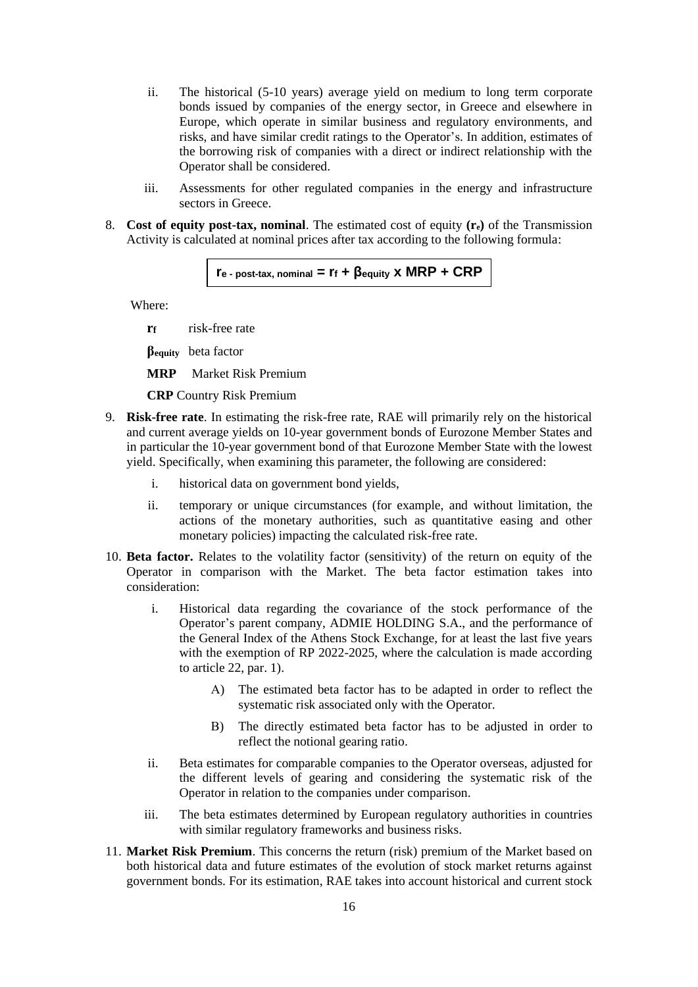- ii. The historical (5-10 years) average yield on medium to long term corporate bonds issued by companies of the energy sector, in Greece and elsewhere in Europe, which operate in similar business and regulatory environments, and risks, and have similar credit ratings to the Operator's. In addition, estimates of the borrowing risk of companies with a direct or indirect relationship with the Operator shall be considered.
- iii. Assessments for other regulated companies in the energy and infrastructure sectors in Greece.
- 8. **Cost of equity post-tax, nominal**. The estimated cost of equity **(re)** of the Transmission Activity is calculated at nominal prices after tax according to the following formula:

```
r_e - post-tax, nominal = r_f + \betaequity x MRP + CRP
```
Where:

**rf** risk-free rate

**βequity** beta factor

**MRP** Market Risk Premium

**CRP** Country Risk Premium

- 9. **Risk-free rate**. In estimating the risk-free rate, RAE will primarily rely on the historical and current average yields on 10-year government bonds of Eurozone Member States and in particular the 10-year government bond of that Eurozone Member State with the lowest yield. Specifically, when examining this parameter, the following are considered:
	- i. historical data on government bond yields,
	- ii. temporary or unique circumstances (for example, and without limitation, the actions of the monetary authorities, such as quantitative easing and other monetary policies) impacting the calculated risk-free rate.
- 10. **Beta factor.** Relates to the volatility factor (sensitivity) of the return on equity of the Operator in comparison with the Market. The beta factor estimation takes into consideration:
	- i. Historical data regarding the covariance of the stock performance of the Operator's parent company, ADMIE HOLDING S.A., and the performance of the General Index of the Athens Stock Exchange, for at least the last five years with the exemption of RP 2022-2025, where the calculation is made according to article 22, par. 1).
		- Α) The estimated beta factor has to be adapted in order to reflect the systematic risk associated only with the Operator.
		- B) The directly estimated beta factor has to be adjusted in order to reflect the notional gearing ratio.
	- ii. Beta estimates for comparable companies to the Operator overseas, adjusted for the different levels of gearing and considering the systematic risk of the Operator in relation to the companies under comparison.
	- iii. The beta estimates determined by European regulatory authorities in countries with similar regulatory frameworks and business risks.
- 11. **Market Risk Premium**. This concerns the return (risk) premium of the Market based on both historical data and future estimates of the evolution of stock market returns against government bonds. For its estimation, RAE takes into account historical and current stock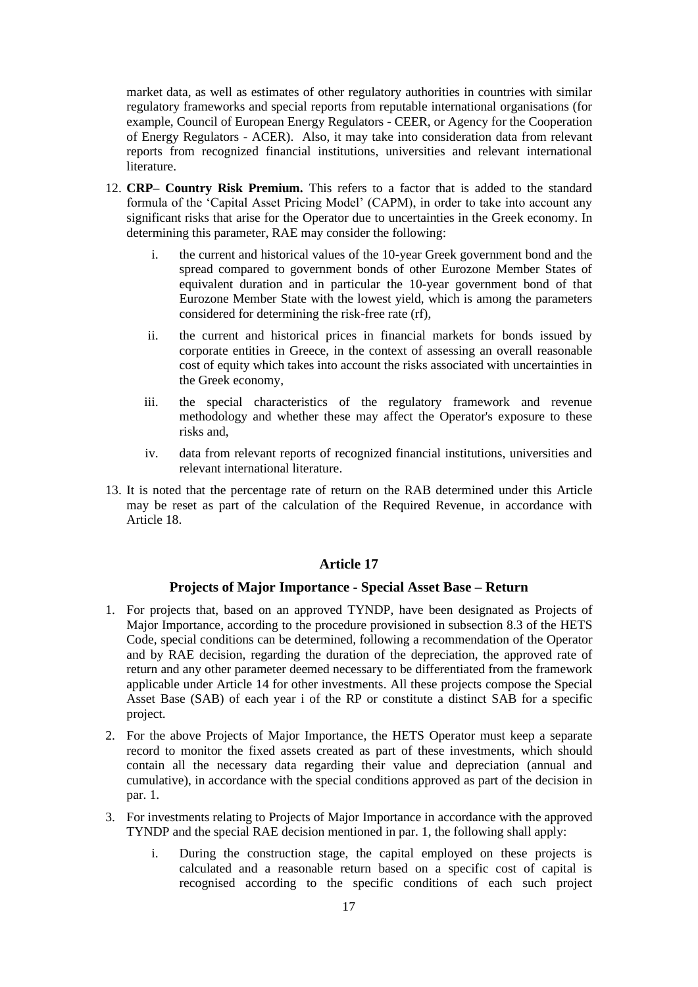market data, as well as estimates of other regulatory authorities in countries with similar regulatory frameworks and special reports from reputable international organisations (for example, Council of European Energy Regulators - CEER, or Agency for the Cooperation of Energy Regulators - ACER). Also, it may take into consideration data from relevant reports from recognized financial institutions, universities and relevant international literature.

- 12. **CRP– Country Risk Premium.** This refers to a factor that is added to the standard formula of the 'Capital Asset Pricing Model' (CAPM), in order to take into account any significant risks that arise for the Operator due to uncertainties in the Greek economy. In determining this parameter, RAE may consider the following:
	- i. the current and historical values of the 10-year Greek government bond and the spread compared to government bonds of other Eurozone Member States of equivalent duration and in particular the 10-year government bond of that Eurozone Member State with the lowest yield, which is among the parameters considered for determining the risk-free rate (rf),
	- ii. the current and historical prices in financial markets for bonds issued by corporate entities in Greece, in the context of assessing an overall reasonable cost of equity which takes into account the risks associated with uncertainties in the Greek economy,
	- iii. the special characteristics of the regulatory framework and revenue methodology and whether these may affect the Operator's exposure to these risks and,
	- iv. data from relevant reports of recognized financial institutions, universities and relevant international literature.
- 13. It is noted that the percentage rate of return on the RAB determined under this Article may be reset as part of the calculation of the Required Revenue, in accordance with Article 18.

## **Article 17**

#### **Projects of Major Importance - Special Asset Base – Return**

- 1. For projects that, based on an approved TYNDP, have been designated as Projects of Major Importance, according to the procedure provisioned in subsection 8.3 of the HETS Code, special conditions can be determined, following a recommendation of the Operator and by RAE decision, regarding the duration of the depreciation, the approved rate of return and any other parameter deemed necessary to be differentiated from the framework applicable under Article 14 for other investments. All these projects compose the Special Asset Base (SAB) of each year i of the RP or constitute a distinct SAB for a specific project.
- 2. For the above Projects of Major Importance, the HETS Operator must keep a separate record to monitor the fixed assets created as part of these investments, which should contain all the necessary data regarding their value and depreciation (annual and cumulative), in accordance with the special conditions approved as part of the decision in par. 1.
- 3. For investments relating to Projects of Major Importance in accordance with the approved TYNDP and the special RAE decision mentioned in par. 1, the following shall apply:
	- i. During the construction stage, the capital employed on these projects is calculated and a reasonable return based on a specific cost of capital is recognised according to the specific conditions of each such project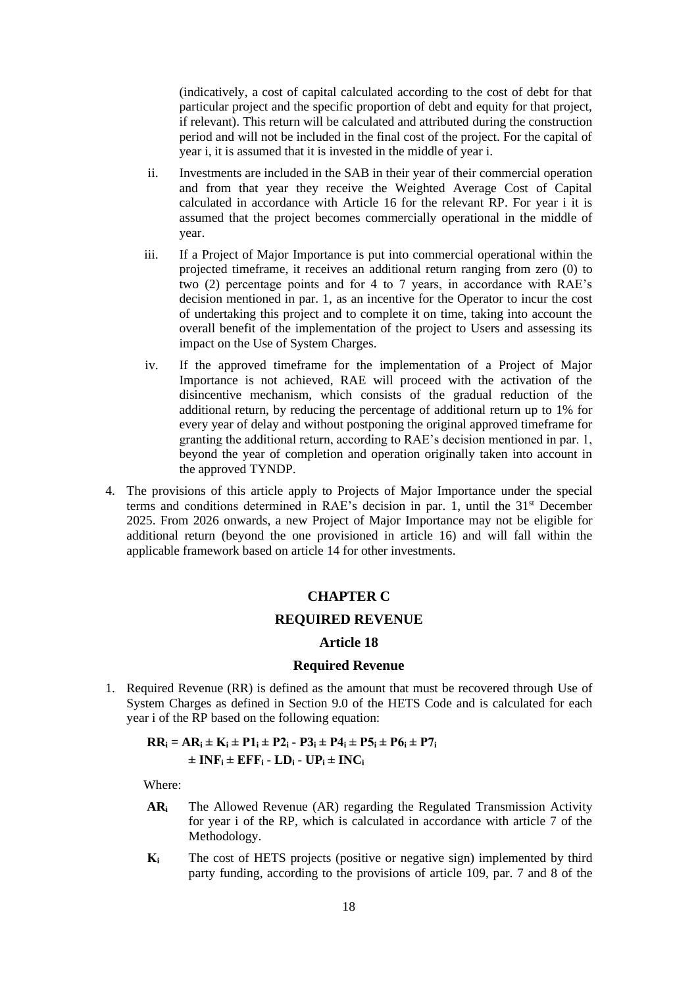(indicatively, a cost of capital calculated according to the cost of debt for that particular project and the specific proportion of debt and equity for that project, if relevant). This return will be calculated and attributed during the construction period and will not be included in the final cost of the project. For the capital of year i, it is assumed that it is invested in the middle of year i.

- ii. Investments are included in the SAB in their year of their commercial operation and from that year they receive the Weighted Average Cost of Capital calculated in accordance with Article 16 for the relevant RP. For year i it is assumed that the project becomes commercially operational in the middle of year.
- iii. If a Project of Major Importance is put into commercial operational within the projected timeframe, it receives an additional return ranging from zero (0) to two (2) percentage points and for 4 to 7 years, in accordance with RAE's decision mentioned in par. 1, as an incentive for the Operator to incur the cost of undertaking this project and to complete it on time, taking into account the overall benefit of the implementation of the project to Users and assessing its impact on the Use of System Charges.
- iv. If the approved timeframe for the implementation of a Project of Major Importance is not achieved, RAE will proceed with the activation of the disincentive mechanism, which consists of the gradual reduction of the additional return, by reducing the percentage of additional return up to 1% for every year of delay and without postponing the original approved timeframe for granting the additional return, according to RAE's decision mentioned in par. 1, beyond the year of completion and operation originally taken into account in the approved TYNDP.
- 4. The provisions of this article apply to Projects of Major Importance under the special terms and conditions determined in RAE's decision in par. 1, until the 31<sup>st</sup> December 2025. From 2026 onwards, a new Project of Major Importance may not be eligible for additional return (beyond the one provisioned in article 16) and will fall within the applicable framework based on article 14 for other investments.

#### **CHAPTER C**

#### **REQUIRED REVENUE**

#### **Article 18**

#### **Required Revenue**

1. Required Revenue (RR) is defined as the amount that must be recovered through Use of System Charges as defined in Section 9.0 of the HETS Code and is calculated for each year i of the RP based on the following equation:

## **RR**<sub>i</sub> = AR<sub>i</sub>  $\pm$  K<sub>i</sub>  $\pm$  P1<sub>i</sub>  $\pm$  P2<sub>i</sub>  $\cdot$  P3<sub>i</sub>  $\pm$  P4<sub>i</sub>  $\pm$  P5<sub>i</sub>  $\pm$  P6<sub>i</sub>  $\pm$  P7<sub>i</sub>  $\pm$  **INF**<sub>i</sub>  $\pm$  **EFF**<sub>i</sub>  $\cdot$  **LD**<sub>i</sub>  $\cdot$  **UP**<sub>i</sub>  $\pm$  **INC**<sub>i</sub>

Where:

- **AR<sup>i</sup>** The Allowed Revenue (AR) regarding the Regulated Transmission Activity for year i of the RP, which is calculated in accordance with article 7 of the Methodology.
- **Κ<sup>i</sup>** The cost of HETS projects (positive or negative sign) implemented by third party funding, according to the provisions of article 109, par. 7 and 8 of the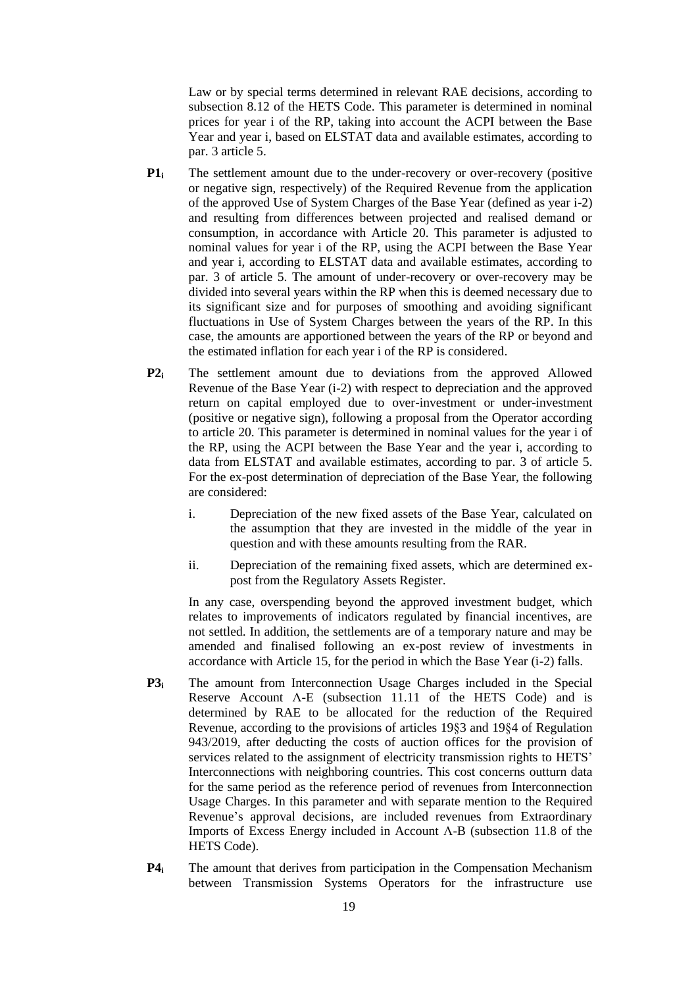Law or by special terms determined in relevant RAE decisions, according to subsection 8.12 of the HETS Code. This parameter is determined in nominal prices for year i of the RP, taking into account the ACPI between the Base Year and year i, based on ELSTAT data and available estimates, according to par. 3 article 5.

- **P1i** The settlement amount due to the under-recovery or over-recovery (positive or negative sign, respectively) of the Required Revenue from the application of the approved Use of System Charges of the Base Year (defined as year i-2) and resulting from differences between projected and realised demand or consumption, in accordance with Article 20. This parameter is adjusted to nominal values for year i of the RP, using the ACPI between the Base Year and year i, according to ELSTAT data and available estimates, according to par. 3 of article 5. The amount of under-recovery or over-recovery may be divided into several years within the RP when this is deemed necessary due to its significant size and for purposes of smoothing and avoiding significant fluctuations in Use of System Charges between the years of the RP. In this case, the amounts are apportioned between the years of the RP or beyond and the estimated inflation for each year i of the RP is considered.
- **P2i** The settlement amount due to deviations from the approved Allowed Revenue of the Base Year (i-2) with respect to depreciation and the approved return on capital employed due to over-investment or under-investment (positive or negative sign), following a proposal from the Operator according to article 20. This parameter is determined in nominal values for the year i of the RP, using the ACPI between the Base Year and the year i, according to data from ELSTAT and available estimates, according to par. 3 of article 5. For the ex-post determination of depreciation of the Base Year, the following are considered:
	- i. Depreciation of the new fixed assets of the Base Year, calculated on the assumption that they are invested in the middle of the year in question and with these amounts resulting from the RAR.
	- ii. Depreciation of the remaining fixed assets, which are determined expost from the Regulatory Assets Register.

In any case, overspending beyond the approved investment budget, which relates to improvements of indicators regulated by financial incentives, are not settled. In addition, the settlements are of a temporary nature and may be amended and finalised following an ex-post review of investments in accordance with Article 15, for the period in which the Base Year (i-2) falls.

- **P3i** The amount from Interconnection Usage Charges included in the Special Reserve Account Λ-E (subsection 11.11 of the HETS Code) and is determined by RAE to be allocated for the reduction of the Required Revenue, according to the provisions of articles 19§3 and 19§4 of Regulation 943/2019, after deducting the costs of auction offices for the provision of services related to the assignment of electricity transmission rights to HETS' Interconnections with neighboring countries. This cost concerns outturn data for the same period as the reference period of revenues from Interconnection Usage Charges. In this parameter and with separate mention to the Required Revenue's approval decisions, are included revenues from Extraordinary Imports of Excess Energy included in Account Λ-B (subsection 11.8 of the HETS Code).
- **P4** The amount that derives from participation in the Compensation Mechanism between Transmission Systems Operators for the infrastructure use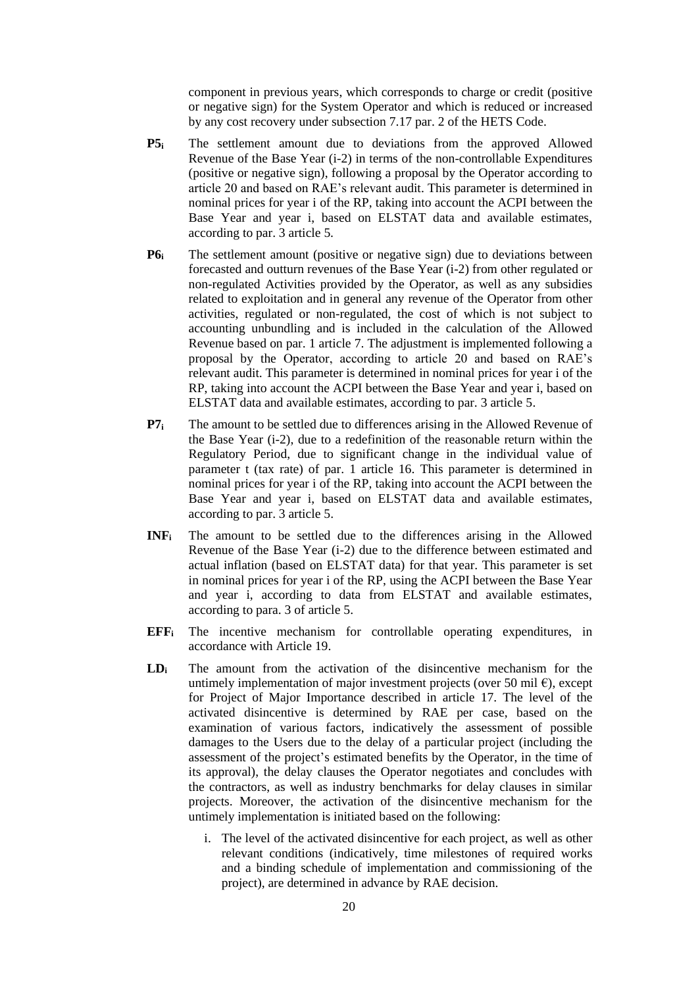component in previous years, which corresponds to charge or credit (positive or negative sign) for the System Operator and which is reduced or increased by any cost recovery under subsection 7.17 par. 2 of the HETS Code.

- **P5i** The settlement amount due to deviations from the approved Allowed Revenue of the Base Year (i-2) in terms of the non-controllable Expenditures (positive or negative sign), following a proposal by the Operator according to article 20 and based on RAE's relevant audit. This parameter is determined in nominal prices for year i of the RP, taking into account the ACPI between the Base Year and year i, based on ELSTAT data and available estimates, according to par. 3 article 5.
- **P6i** The settlement amount (positive or negative sign) due to deviations between forecasted and outturn revenues of the Base Year (i-2) from other regulated or non-regulated Activities provided by the Operator, as well as any subsidies related to exploitation and in general any revenue of the Operator from other activities, regulated or non-regulated, the cost of which is not subject to accounting unbundling and is included in the calculation of the Allowed Revenue based on par. 1 article 7. The adjustment is implemented following a proposal by the Operator, according to article 20 and based on RAE's relevant audit. This parameter is determined in nominal prices for year i of the RP, taking into account the ACPI between the Base Year and year i, based on ELSTAT data and available estimates, according to par. 3 article 5.
- **P7i** The amount to be settled due to differences arising in the Allowed Revenue of the Base Year (i-2), due to a redefinition of the reasonable return within the Regulatory Period, due to significant change in the individual value of parameter t (tax rate) of par. 1 article 16. This parameter is determined in nominal prices for year i of the RP, taking into account the ACPI between the Base Year and year i, based on ELSTAT data and available estimates, according to par. 3 article 5.
- **INF<sup>i</sup>** The amount to be settled due to the differences arising in the Allowed Revenue of the Base Year (i-2) due to the difference between estimated and actual inflation (based on ELSTAT data) for that year. This parameter is set in nominal prices for year i of the RP, using the ACPI between the Base Year and year i, according to data from ELSTAT and available estimates, according to para. 3 of article 5.
- **EFF<sup>i</sup>** The incentive mechanism for controllable operating expenditures, in accordance with Article 19.
- **LD<sup>i</sup>** The amount from the activation of the disincentive mechanism for the untimely implementation of major investment projects (over 50 mil  $\epsilon$ ), except for Project of Major Importance described in article 17. The level of the activated disincentive is determined by RAE per case, based on the examination of various factors, indicatively the assessment of possible damages to the Users due to the delay of a particular project (including the assessment of the project's estimated benefits by the Operator, in the time of its approval), the delay clauses the Operator negotiates and concludes with the contractors, as well as industry benchmarks for delay clauses in similar projects. Moreover, the activation of the disincentive mechanism for the untimely implementation is initiated based on the following:
	- i. The level of the activated disincentive for each project, as well as other relevant conditions (indicatively, time milestones of required works and a binding schedule of implementation and commissioning of the project), are determined in advance by RAE decision.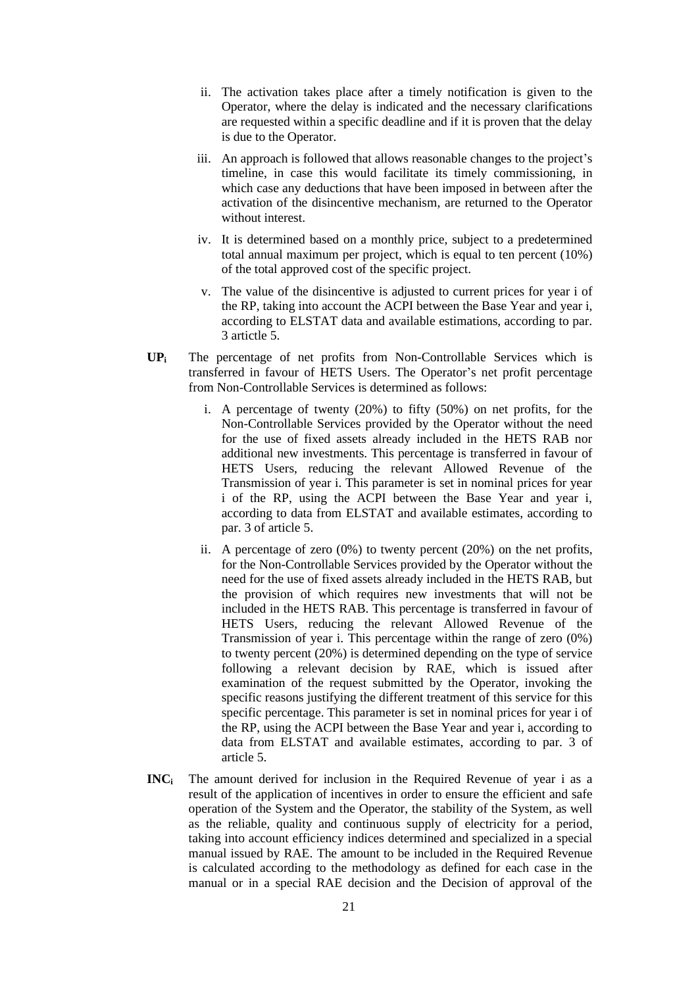- ii. The activation takes place after a timely notification is given to the Operator, where the delay is indicated and the necessary clarifications are requested within a specific deadline and if it is proven that the delay is due to the Operator.
- iii. An approach is followed that allows reasonable changes to the project's timeline, in case this would facilitate its timely commissioning, in which case any deductions that have been imposed in between after the activation of the disincentive mechanism, are returned to the Operator without interest
- iv. It is determined based on a monthly price, subject to a predetermined total annual maximum per project, which is equal to ten percent (10%) of the total approved cost of the specific project.
- v. The value of the disincentive is adjusted to current prices for year i of the RP, taking into account the ACPI between the Base Year and year i, according to ELSTAT data and available estimations, according to par. 3 artictle 5.
- **UP<sup>i</sup>** The percentage of net profits from Non-Controllable Services which is transferred in favour of HETS Users. The Operator's net profit percentage from Non-Controllable Services is determined as follows:
	- i. A percentage of twenty (20%) to fifty (50%) on net profits, for the Non-Controllable Services provided by the Operator without the need for the use of fixed assets already included in the HETS RAB nor additional new investments. This percentage is transferred in favour of HETS Users, reducing the relevant Allowed Revenue of the Transmission of year i. This parameter is set in nominal prices for year i of the RP, using the ACPI between the Base Year and year i, according to data from ELSTAT and available estimates, according to par. 3 of article 5.
	- ii. A percentage of zero (0%) to twenty percent (20%) on the net profits, for the Non-Controllable Services provided by the Operator without the need for the use of fixed assets already included in the HETS RAB, but the provision of which requires new investments that will not be included in the HETS RAB. This percentage is transferred in favour of HETS Users, reducing the relevant Allowed Revenue of the Transmission of year i. This percentage within the range of zero (0%) to twenty percent (20%) is determined depending on the type of service following a relevant decision by RAE, which is issued after examination of the request submitted by the Operator, invoking the specific reasons justifying the different treatment of this service for this specific percentage. This parameter is set in nominal prices for year i of the RP, using the ACPI between the Base Year and year i, according to data from ELSTAT and available estimates, according to par. 3 of article 5.
- **INC<sup>i</sup>** The amount derived for inclusion in the Required Revenue of year i as a result of the application of incentives in order to ensure the efficient and safe operation of the System and the Operator, the stability of the System, as well as the reliable, quality and continuous supply of electricity for a period, taking into account efficiency indices determined and specialized in a special manual issued by RAE. The amount to be included in the Required Revenue is calculated according to the methodology as defined for each case in the manual or in a special RAE decision and the Decision of approval of the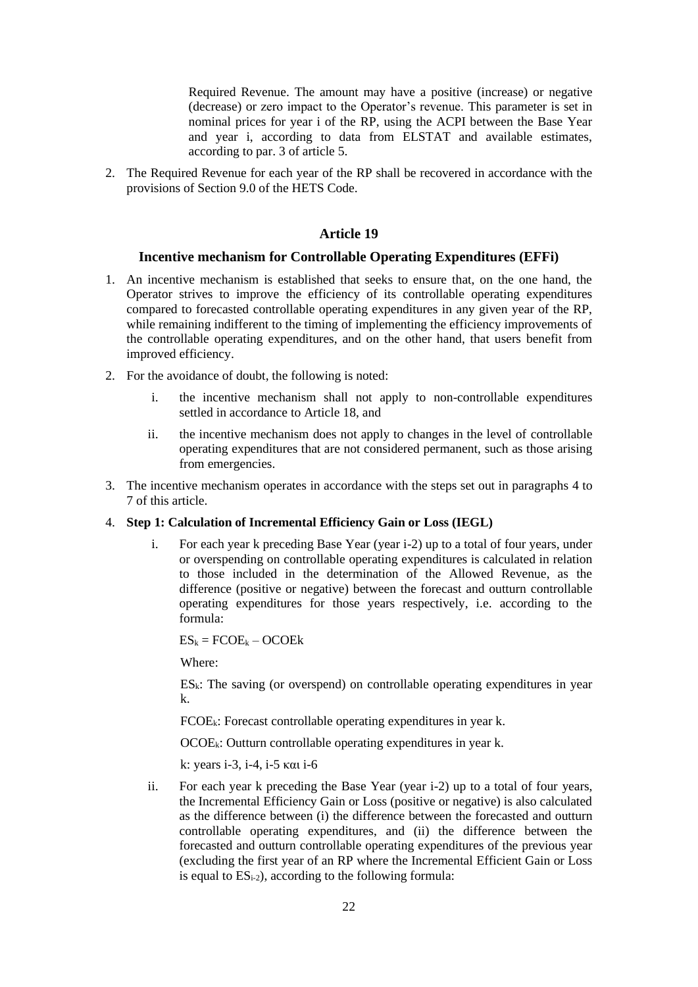Required Revenue. The amount may have a positive (increase) or negative (decrease) or zero impact to the Operator's revenue. This parameter is set in nominal prices for year i of the RP, using the ACPI between the Base Year and year i, according to data from ELSTAT and available estimates, according to par. 3 of article 5.

2. The Required Revenue for each year of the RP shall be recovered in accordance with the provisions of Section 9.0 of the HETS Code.

#### **Article 19**

#### **Incentive mechanism for Controllable Operating Expenditures (EFFi)**

- 1. An incentive mechanism is established that seeks to ensure that, on the one hand, the Operator strives to improve the efficiency of its controllable operating expenditures compared to forecasted controllable operating expenditures in any given year of the RP, while remaining indifferent to the timing of implementing the efficiency improvements of the controllable operating expenditures, and on the other hand, that users benefit from improved efficiency.
- 2. For the avoidance of doubt, the following is noted:
	- i. the incentive mechanism shall not apply to non-controllable expenditures settled in accordance to Article 18, and
	- ii. the incentive mechanism does not apply to changes in the level of controllable operating expenditures that are not considered permanent, such as those arising from emergencies.
- 3. The incentive mechanism operates in accordance with the steps set out in paragraphs 4 to 7 of this article.
- 4. **Step 1: Calculation of Incremental Efficiency Gain or Loss (IEGL)**
	- i. For each year k preceding Base Year (year i-2) up to a total of four years, under or overspending on controllable operating expenditures is calculated in relation to those included in the determination of the Allowed Revenue, as the difference (positive or negative) between the forecast and outturn controllable operating expenditures for those years respectively, i.e. according to the formula:

 $ES_k = FCOE_k - OCOEk$ 

Where:

 $ES_k$ : The saving (or overspend) on controllable operating expenditures in year k.

 $FCOE_k$ : Forecast controllable operating expenditures in year k.

OCOEk: Outturn controllable operating expenditures in year k.

k: years i-3, i-4, i-5 και i-6

ii. For each year k preceding the Base Year (year i-2) up to a total of four years, the Incremental Efficiency Gain or Loss (positive or negative) is also calculated as the difference between (i) the difference between the forecasted and outturn controllable operating expenditures, and (ii) the difference between the forecasted and outturn controllable operating expenditures of the previous year (excluding the first year of an RP where the Incremental Efficient Gain or Loss is equal to  $ES_{i-2}$ ), according to the following formula: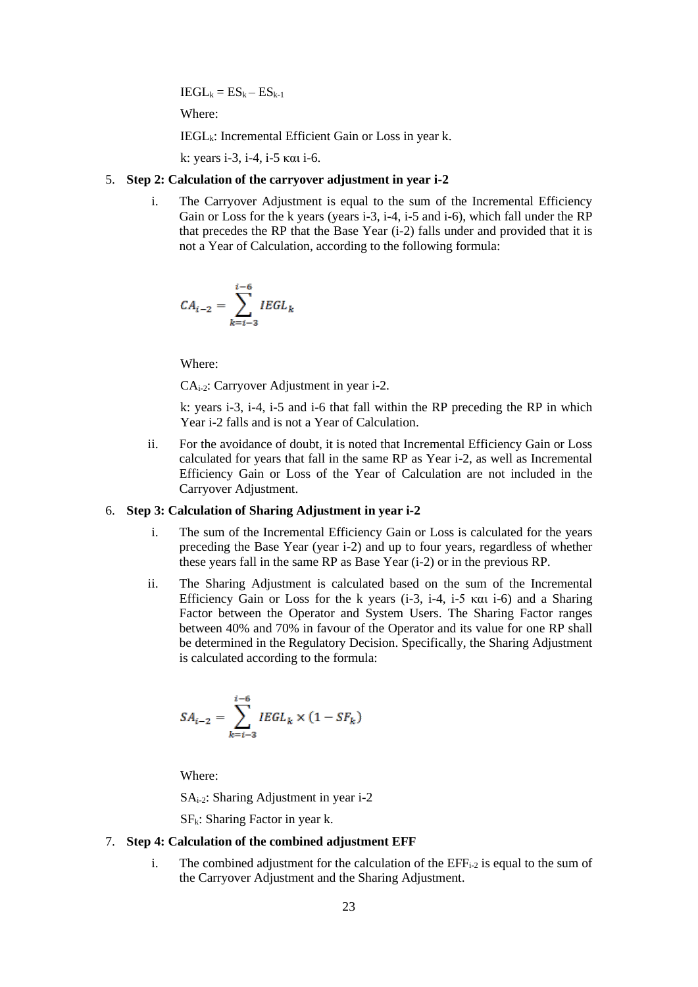$IEGL_k = ES_k - ES_{k-1}$ 

Where:

 $IEGL_k$ : Incremental Efficient Gain or Loss in year k.

k: years i-3, i-4, i-5 και i-6.

### 5. **Step 2: Calculation of the carryover adjustment in year i-2**

i. The Carryover Adjustment is equal to the sum of the Incremental Efficiency Gain or Loss for the k years (years i-3, i-4, i-5 and i-6), which fall under the RP that precedes the RP that the Base Year (i-2) falls under and provided that it is not a Year of Calculation, according to the following formula:

$$
CA_{i-2} = \sum_{k=i-3}^{i-6} IEGL_k
$$

Where:

CAi-2: Carryover Adjustment in year i-2.

k: years i-3, i-4, i-5 and i-6 that fall within the RP preceding the RP in which Year i-2 falls and is not a Year of Calculation.

ii. For the avoidance of doubt, it is noted that Incremental Efficiency Gain or Loss calculated for years that fall in the same RP as Year i-2, as well as Incremental Efficiency Gain or Loss of the Year of Calculation are not included in the Carryover Adjustment.

### 6. **Step 3: Calculation of Sharing Adjustment in year i-2**

- i. The sum of the Incremental Efficiency Gain or Loss is calculated for the years preceding the Base Year (year i-2) and up to four years, regardless of whether these years fall in the same RP as Base Year (i-2) or in the previous RP.
- ii. The Sharing Adjustment is calculated based on the sum of the Incremental Efficiency Gain or Loss for the k years (i-3, i-4, i-5 και i-6) and a Sharing Factor between the Operator and System Users. The Sharing Factor ranges between 40% and 70% in favour of the Operator and its value for one RP shall be determined in the Regulatory Decision. Specifically, the Sharing Adjustment is calculated according to the formula:

$$
SA_{i-2} = \sum_{k=i-3}^{i-6} IEGL_k \times (1 - SF_k)
$$

Where:

SAi-2: Sharing Adjustment in year i-2

 $SF_k$ : Sharing Factor in year k.

- 7. **Step 4: Calculation of the combined adjustment EFF** 
	- i. The combined adjustment for the calculation of the  $EFF_{i-2}$  is equal to the sum of the Carryover Adjustment and the Sharing Adjustment.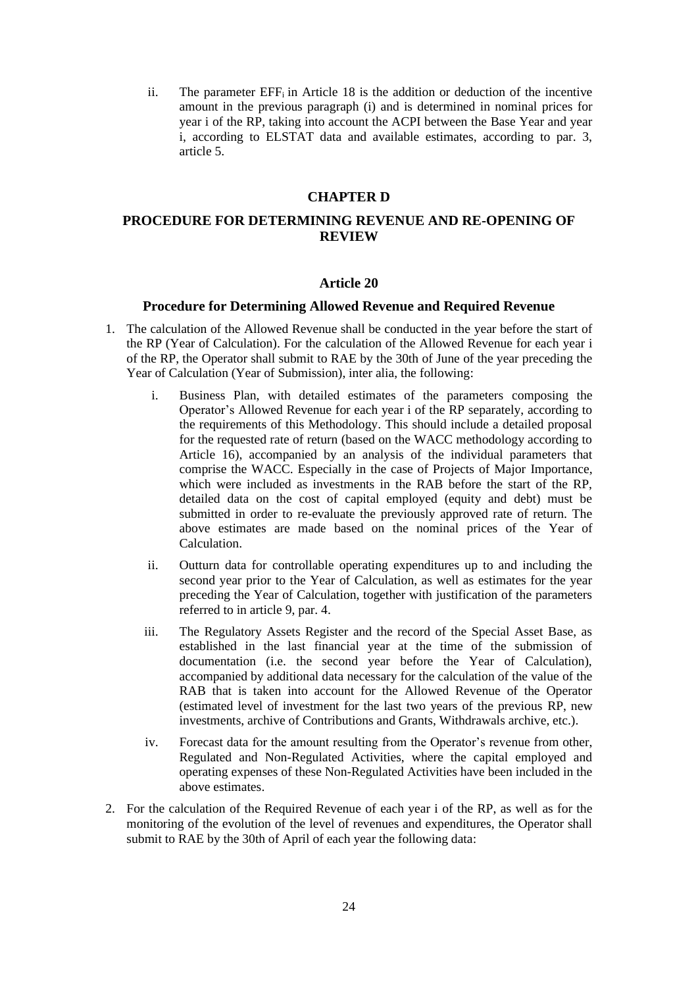ii. The parameter  $EFF_i$  in Article 18 is the addition or deduction of the incentive amount in the previous paragraph (i) and is determined in nominal prices for year i of the RP, taking into account the ACPI between the Base Year and year i, according to ELSTAT data and available estimates, according to par. 3, article 5.

### **CHAPTER D**

## **PROCEDURE FOR DETERMINING REVENUE AND RE-OPENING OF REVIEW**

#### **Article 20**

#### **Procedure for Determining Allowed Revenue and Required Revenue**

- 1. The calculation of the Allowed Revenue shall be conducted in the year before the start of the RP (Year of Calculation). For the calculation of the Allowed Revenue for each year i of the RP, the Operator shall submit to RAE by the 30th of June of the year preceding the Year of Calculation (Year of Submission), inter alia, the following:
	- i. Business Plan, with detailed estimates of the parameters composing the Operator's Allowed Revenue for each year i of the RP separately, according to the requirements of this Methodology. This should include a detailed proposal for the requested rate of return (based on the WACC methodology according to Article 16), accompanied by an analysis of the individual parameters that comprise the WACC. Especially in the case of Projects of Major Importance, which were included as investments in the RAB before the start of the RP. detailed data on the cost of capital employed (equity and debt) must be submitted in order to re-evaluate the previously approved rate of return. The above estimates are made based on the nominal prices of the Year of Calculation.
	- ii. Outturn data for controllable operating expenditures up to and including the second year prior to the Year of Calculation, as well as estimates for the year preceding the Year of Calculation, together with justification of the parameters referred to in article 9, par. 4.
	- iii. The Regulatory Assets Register and the record of the Special Asset Base, as established in the last financial year at the time of the submission of documentation (i.e. the second year before the Year of Calculation), accompanied by additional data necessary for the calculation of the value of the RAB that is taken into account for the Allowed Revenue of the Operator (estimated level of investment for the last two years of the previous RP, new investments, archive of Contributions and Grants, Withdrawals archive, etc.).
	- iv. Forecast data for the amount resulting from the Operator's revenue from other, Regulated and Non-Regulated Activities, where the capital employed and operating expenses of these Non-Regulated Activities have been included in the above estimates.
- 2. For the calculation of the Required Revenue of each year i of the RP, as well as for the monitoring of the evolution of the level of revenues and expenditures, the Operator shall submit to RAE by the 30th of April of each year the following data: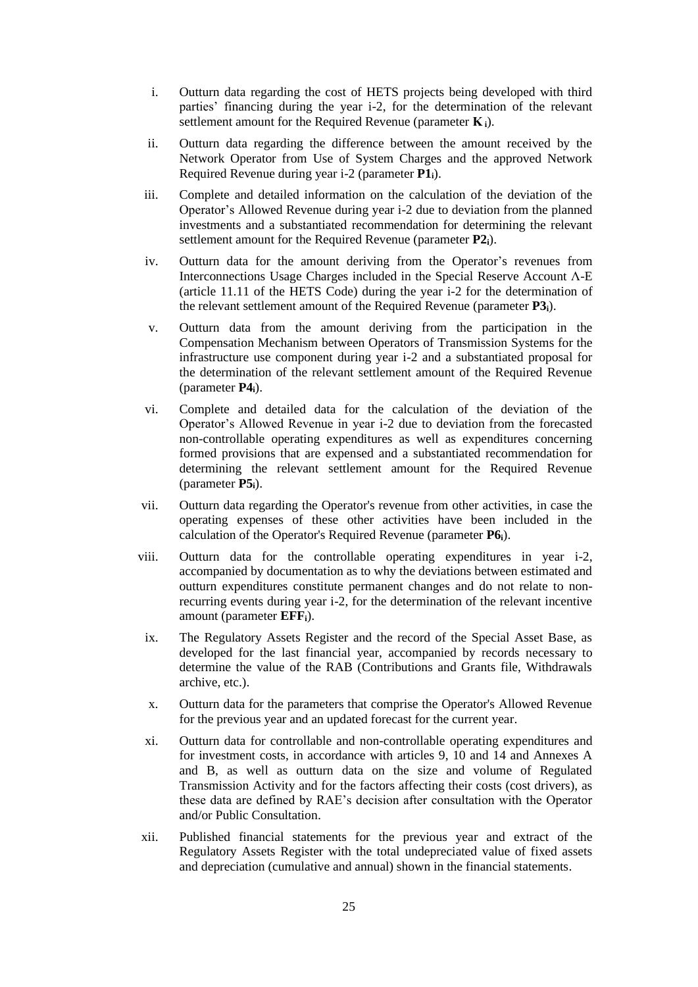- i. Outturn data regarding the cost of HETS projects being developed with third parties' financing during the year i-2, for the determination of the relevant settlement amount for the Required Revenue (parameter **Κ <sup>i</sup>**).
- ii. Outturn data regarding the difference between the amount received by the Network Operator from Use of System Charges and the approved Network Required Revenue during year i-2 (parameter **P1i**).
- iii. Complete and detailed information on the calculation of the deviation of the Operator's Allowed Revenue during year i-2 due to deviation from the planned investments and a substantiated recommendation for determining the relevant settlement amount for the Required Revenue (parameter **P2i**).
- iv. Outturn data for the amount deriving from the Operator's revenues from Interconnections Usage Charges included in the Special Reserve Account Λ-E (article 11.11 of the HETS Code) during the year i-2 for the determination of the relevant settlement amount of the Required Revenue (parameter **P3i**).
- v. Outturn data from the amount deriving from the participation in the Compensation Mechanism between Operators of Transmission Systems for the infrastructure use component during year i-2 and a substantiated proposal for the determination of the relevant settlement amount of the Required Revenue (parameter **P4i**).
- vi. Complete and detailed data for the calculation of the deviation of the Operator's Allowed Revenue in year i-2 due to deviation from the forecasted non-controllable operating expenditures as well as expenditures concerning formed provisions that are expensed and a substantiated recommendation for determining the relevant settlement amount for the Required Revenue (parameter **P5i**).
- vii. Outturn data regarding the Operator's revenue from other activities, in case the operating expenses of these other activities have been included in the calculation of the Operator's Required Revenue (parameter **P6i**).
- viii. Outturn data for the controllable operating expenditures in year i-2, accompanied by documentation as to why the deviations between estimated and outturn expenditures constitute permanent changes and do not relate to nonrecurring events during year i-2, for the determination of the relevant incentive amount (parameter **EFFi**).
- ix. The Regulatory Assets Register and the record of the Special Asset Base, as developed for the last financial year, accompanied by records necessary to determine the value of the RAB (Contributions and Grants file, Withdrawals archive, etc.).
- x. Outturn data for the parameters that comprise the Operator's Allowed Revenue for the previous year and an updated forecast for the current year.
- xi. Outturn data for controllable and non-controllable operating expenditures and for investment costs, in accordance with articles 9, 10 and 14 and Annexes A and B, as well as outturn data on the size and volume of Regulated Transmission Activity and for the factors affecting their costs (cost drivers), as these data are defined by RAE's decision after consultation with the Operator and/or Public Consultation.
- xii. Published financial statements for the previous year and extract of the Regulatory Assets Register with the total undepreciated value of fixed assets and depreciation (cumulative and annual) shown in the financial statements.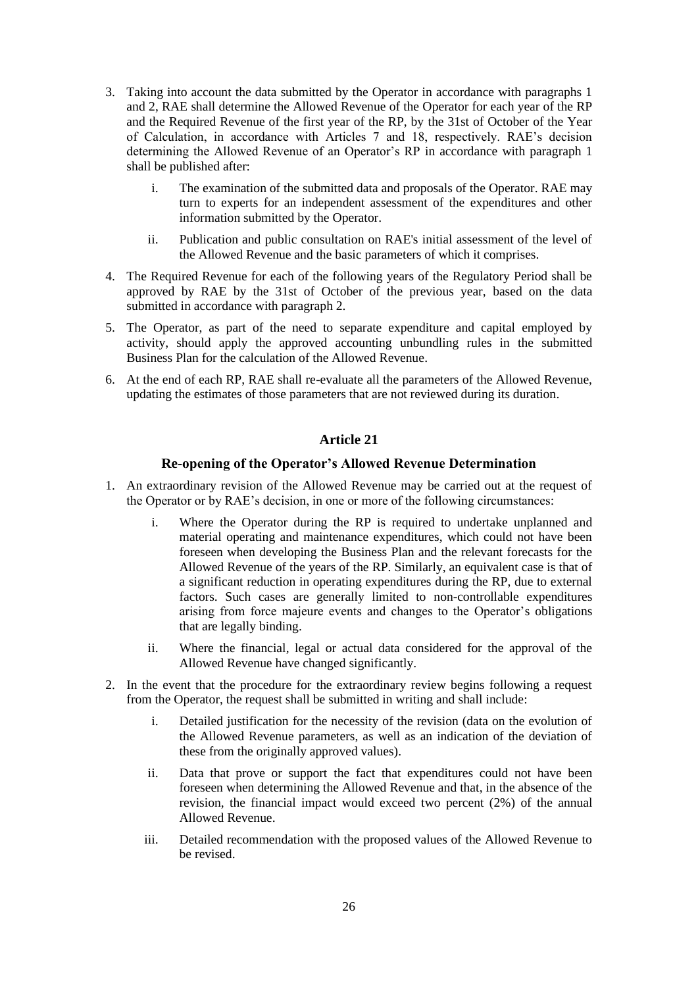- 3. Taking into account the data submitted by the Operator in accordance with paragraphs 1 and 2, RAE shall determine the Allowed Revenue of the Operator for each year of the RP and the Required Revenue of the first year of the RP, by the 31st of October of the Year of Calculation, in accordance with Articles 7 and 18, respectively. RAE's decision determining the Allowed Revenue of an Operator's RP in accordance with paragraph 1 shall be published after:
	- i. The examination of the submitted data and proposals of the Operator. RAE may turn to experts for an independent assessment of the expenditures and other information submitted by the Operator.
	- ii. Publication and public consultation on RAE's initial assessment of the level of the Allowed Revenue and the basic parameters of which it comprises.
- 4. The Required Revenue for each of the following years of the Regulatory Period shall be approved by RAE by the 31st of October of the previous year, based on the data submitted in accordance with paragraph 2.
- 5. The Operator, as part of the need to separate expenditure and capital employed by activity, should apply the approved accounting unbundling rules in the submitted Business Plan for the calculation of the Allowed Revenue.
- 6. At the end of each RP, RAE shall re-evaluate all the parameters of the Allowed Revenue, updating the estimates of those parameters that are not reviewed during its duration.

### **Re-opening of the Operator's Allowed Revenue Determination**

- 1. An extraordinary revision of the Allowed Revenue may be carried out at the request of the Operator or by RAE's decision, in one or more of the following circumstances:
	- i. Where the Operator during the RP is required to undertake unplanned and material operating and maintenance expenditures, which could not have been foreseen when developing the Business Plan and the relevant forecasts for the Allowed Revenue of the years of the RP. Similarly, an equivalent case is that of a significant reduction in operating expenditures during the RP, due to external factors. Such cases are generally limited to non-controllable expenditures arising from force majeure events and changes to the Operator's obligations that are legally binding.
	- ii. Where the financial, legal or actual data considered for the approval of the Allowed Revenue have changed significantly.
- 2. In the event that the procedure for the extraordinary review begins following a request from the Operator, the request shall be submitted in writing and shall include:
	- i. Detailed justification for the necessity of the revision (data on the evolution of the Allowed Revenue parameters, as well as an indication of the deviation of these from the originally approved values).
	- ii. Data that prove or support the fact that expenditures could not have been foreseen when determining the Allowed Revenue and that, in the absence of the revision, the financial impact would exceed two percent (2%) of the annual Allowed Revenue.
	- iii. Detailed recommendation with the proposed values of the Allowed Revenue to be revised.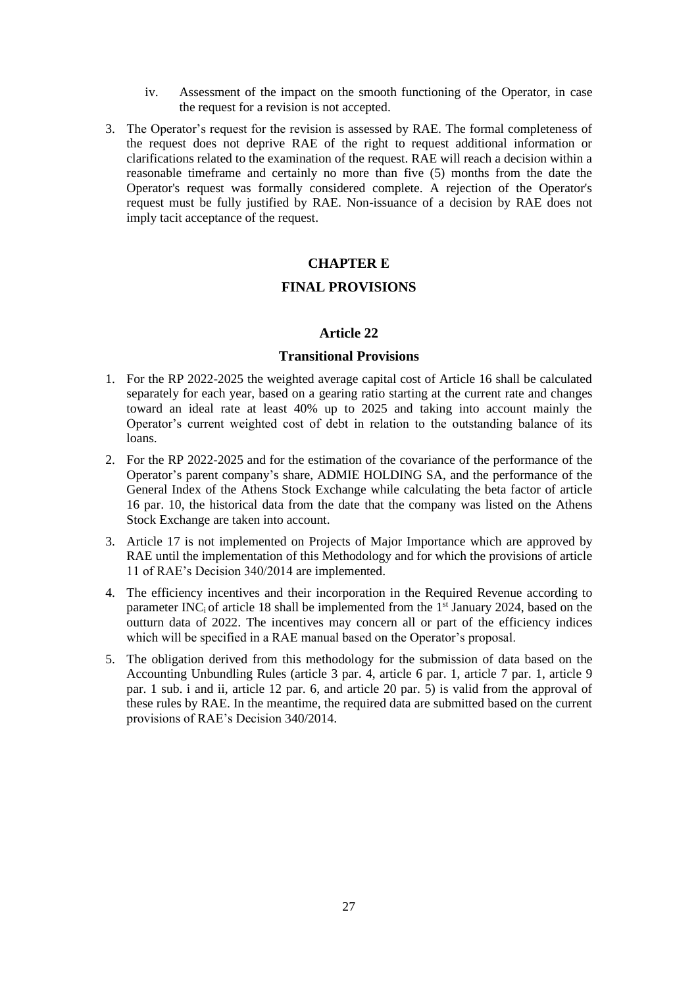- iv. Assessment of the impact on the smooth functioning of the Operator, in case the request for a revision is not accepted.
- 3. The Operator's request for the revision is assessed by RAE. The formal completeness of the request does not deprive RAE of the right to request additional information or clarifications related to the examination of the request. RAE will reach a decision within a reasonable timeframe and certainly no more than five (5) months from the date the Operator's request was formally considered complete. A rejection of the Operator's request must be fully justified by RAE. Non-issuance of a decision by RAE does not imply tacit acceptance of the request.

## **CHAPTER Ε**

## **FINAL PROVISIONS**

#### **Article 22**

### **Transitional Provisions**

- 1. For the RP 2022-2025 the weighted average capital cost of Article 16 shall be calculated separately for each year, based on a gearing ratio starting at the current rate and changes toward an ideal rate at least 40% up to 2025 and taking into account mainly the Operator's current weighted cost of debt in relation to the outstanding balance of its loans.
- 2. For the RP 2022-2025 and for the estimation of the covariance of the performance of the Operator's parent company's share, ADMIE HOLDING SA, and the performance of the General Index of the Athens Stock Exchange while calculating the beta factor of article 16 par. 10, the historical data from the date that the company was listed on the Athens Stock Exchange are taken into account.
- 3. Article 17 is not implemented on Projects of Major Importance which are approved by RAE until the implementation of this Methodology and for which the provisions of article 11 of RAE's Decision 340/2014 are implemented.
- 4. The efficiency incentives and their incorporation in the Required Revenue according to parameter INC<sub>i</sub> of article 18 shall be implemented from the  $1<sup>st</sup>$  January 2024, based on the outturn data of 2022. The incentives may concern all or part of the efficiency indices which will be specified in a RAE manual based on the Operator's proposal.
- 5. The obligation derived from this methodology for the submission of data based on the Accounting Unbundling Rules (article 3 par. 4, article 6 par. 1, article 7 par. 1, article 9 par. 1 sub. i and ii, article 12 par. 6, and article 20 par.  $\bar{5}$ ) is valid from the approval of these rules by RAE. In the meantime, the required data are submitted based on the current provisions of RAE's Decision 340/2014.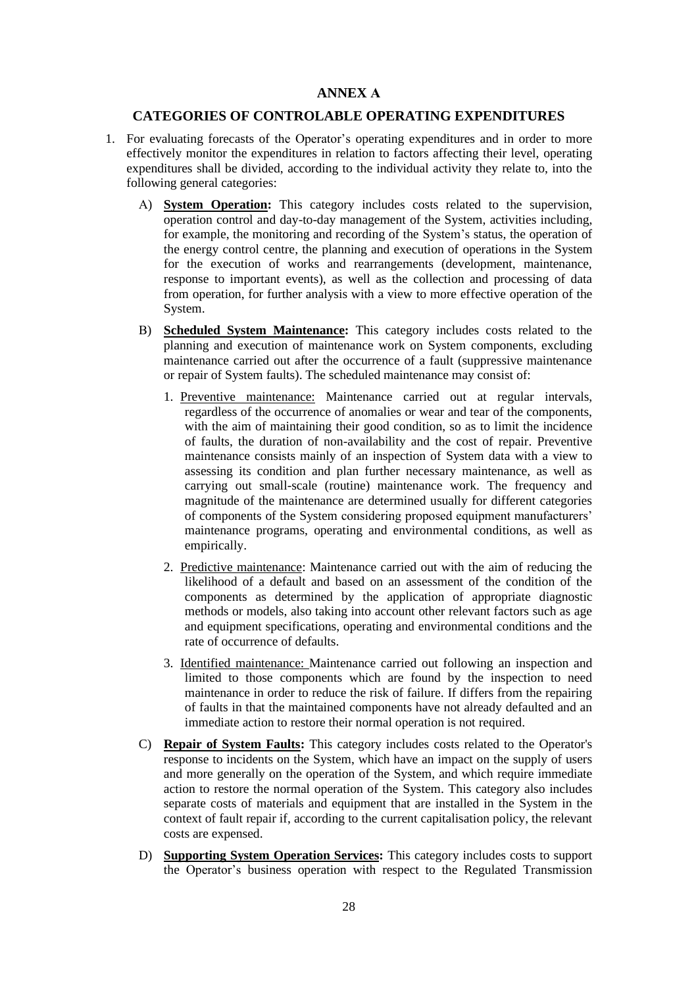## **ANNEX Α**

## **CATEGORIES OF CONTROLABLE OPERATING EXPENDITURES**

- 1. For evaluating forecasts of the Operator's operating expenditures and in order to more effectively monitor the expenditures in relation to factors affecting their level, operating expenditures shall be divided, according to the individual activity they relate to, into the following general categories:
	- Α) **System Operation:** This category includes costs related to the supervision, operation control and day-to-day management of the System, activities including, for example, the monitoring and recording of the System's status, the operation of the energy control centre, the planning and execution of operations in the System for the execution of works and rearrangements (development, maintenance, response to important events), as well as the collection and processing of data from operation, for further analysis with a view to more effective operation of the System.
	- Β) **Scheduled System Maintenance:** This category includes costs related to the planning and execution of maintenance work on System components, excluding maintenance carried out after the occurrence of a fault (suppressive maintenance or repair of System faults). The scheduled maintenance may consist of:
		- 1. Preventive maintenance: Maintenance carried out at regular intervals, regardless of the occurrence of anomalies or wear and tear of the components, with the aim of maintaining their good condition, so as to limit the incidence of faults, the duration of non-availability and the cost of repair. Preventive maintenance consists mainly of an inspection of System data with a view to assessing its condition and plan further necessary maintenance, as well as carrying out small-scale (routine) maintenance work. The frequency and magnitude of the maintenance are determined usually for different categories of components of the System considering proposed equipment manufacturers' maintenance programs, operating and environmental conditions, as well as empirically.
		- 2. Predictive maintenance: Maintenance carried out with the aim of reducing the likelihood of a default and based on an assessment of the condition of the components as determined by the application of appropriate diagnostic methods or models, also taking into account other relevant factors such as age and equipment specifications, operating and environmental conditions and the rate of occurrence of defaults.
		- 3. Identified maintenance: Maintenance carried out following an inspection and limited to those components which are found by the inspection to need maintenance in order to reduce the risk of failure. If differs from the repairing of faults in that the maintained components have not already defaulted and an immediate action to restore their normal operation is not required.
	- C) **Repair of System Faults:** This category includes costs related to the Operator's response to incidents on the System, which have an impact on the supply of users and more generally on the operation of the System, and which require immediate action to restore the normal operation of the System. This category also includes separate costs of materials and equipment that are installed in the System in the context of fault repair if, according to the current capitalisation policy, the relevant costs are expensed.
	- D) **Supporting System Operation Services:** This category includes costs to support the Operator's business operation with respect to the Regulated Transmission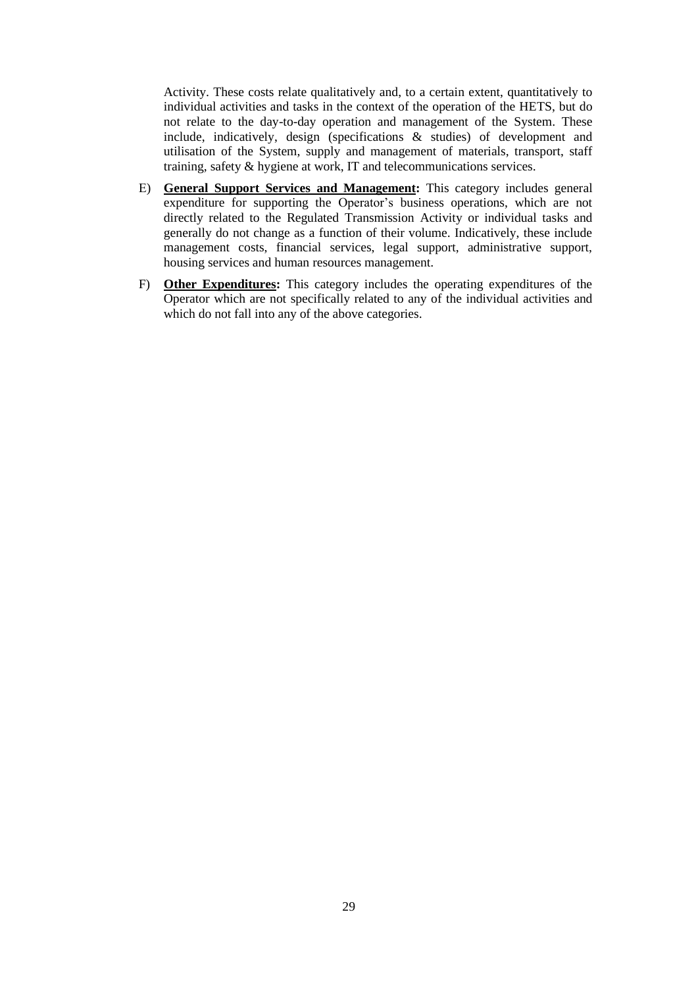Activity. These costs relate qualitatively and, to a certain extent, quantitatively to individual activities and tasks in the context of the operation of the HETS, but do not relate to the day-to-day operation and management of the System. These include, indicatively, design (specifications & studies) of development and utilisation of the System, supply and management of materials, transport, staff training, safety & hygiene at work, IT and telecommunications services.

- Ε) **General Support Services and Management:** This category includes general expenditure for supporting the Operator's business operations, which are not directly related to the Regulated Transmission Activity or individual tasks and generally do not change as a function of their volume. Indicatively, these include management costs, financial services, legal support, administrative support, housing services and human resources management.
- F) **Other Expenditures:** This category includes the operating expenditures of the Operator which are not specifically related to any of the individual activities and which do not fall into any of the above categories.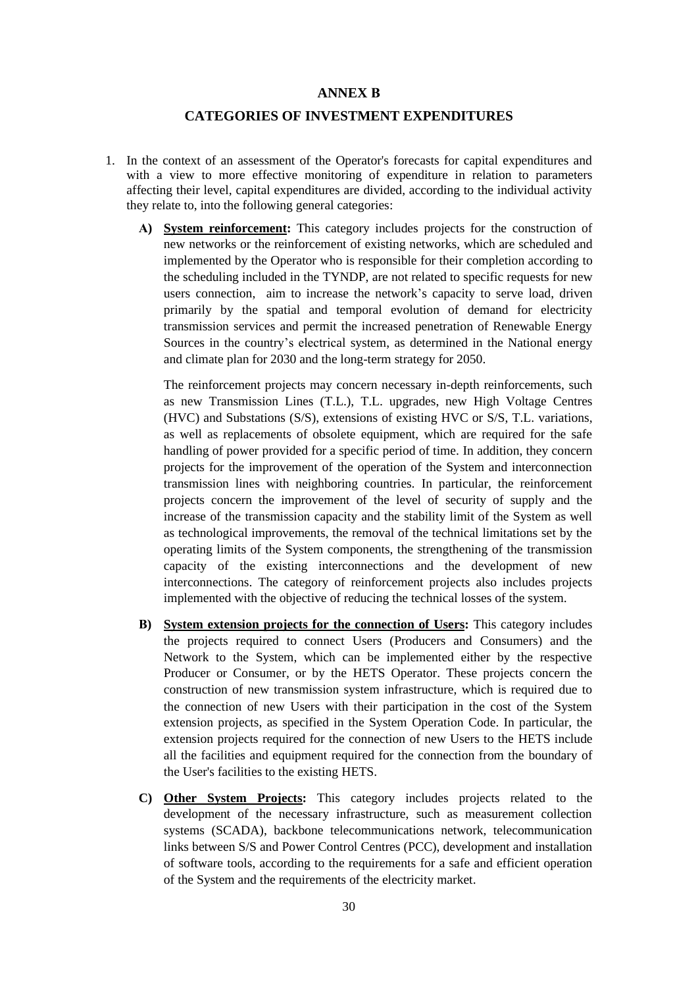#### **ANNEX Β**

### **CATEGORIES OF INVESTMENT EXPENDITURES**

- 1. In the context of an assessment of the Operator's forecasts for capital expenditures and with a view to more effective monitoring of expenditure in relation to parameters affecting their level, capital expenditures are divided, according to the individual activity they relate to, into the following general categories:
	- **Α) System reinforcement:** This category includes projects for the construction of new networks or the reinforcement of existing networks, which are scheduled and implemented by the Operator who is responsible for their completion according to the scheduling included in the TYNDP, are not related to specific requests for new users connection, aim to increase the network's capacity to serve load, driven primarily by the spatial and temporal evolution of demand for electricity transmission services and permit the increased penetration of Renewable Energy Sources in the country's electrical system, as determined in the National energy and climate plan for 2030 and the long-term strategy for 2050.

The reinforcement projects may concern necessary in-depth reinforcements, such as new Transmission Lines (T.L.), T.L. upgrades, new High Voltage Centres (HVC) and Substations (S/S), extensions of existing HVC or S/S, T.L. variations, as well as replacements of obsolete equipment, which are required for the safe handling of power provided for a specific period of time. In addition, they concern projects for the improvement of the operation of the System and interconnection transmission lines with neighboring countries. In particular, the reinforcement projects concern the improvement of the level of security of supply and the increase of the transmission capacity and the stability limit of the System as well as technological improvements, the removal of the technical limitations set by the operating limits of the System components, the strengthening of the transmission capacity of the existing interconnections and the development of new interconnections. The category of reinforcement projects also includes projects implemented with the objective of reducing the technical losses of the system.

- **Β) System extension projects for the connection of Users:** This category includes the projects required to connect Users (Producers and Consumers) and the Network to the System, which can be implemented either by the respective Producer or Consumer, or by the HETS Operator. These projects concern the construction of new transmission system infrastructure, which is required due to the connection of new Users with their participation in the cost of the System extension projects, as specified in the System Operation Code. In particular, the extension projects required for the connection of new Users to the HETS include all the facilities and equipment required for the connection from the boundary of the User's facilities to the existing HETS.
- **C) Other System Projects:** This category includes projects related to the development of the necessary infrastructure, such as measurement collection systems (SCADA), backbone telecommunications network, telecommunication links between S/S and Power Control Centres (PCC), development and installation of software tools, according to the requirements for a safe and efficient operation of the System and the requirements of the electricity market.